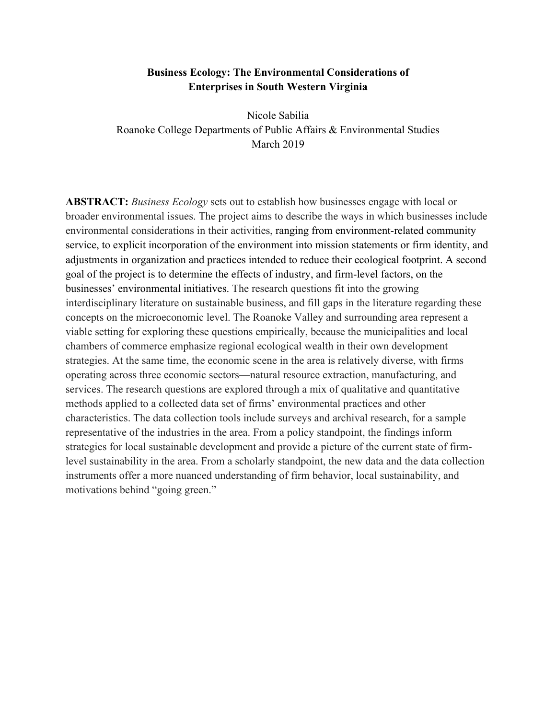## **Business Ecology: The Environmental Considerations of Enterprises in South Western Virginia**

Nicole Sabilia Roanoke College Departments of Public Affairs & Environmental Studies March 2019

**ABSTRACT:** *Business Ecology* sets out to establish how businesses engage with local or broader environmental issues. The project aims to describe the ways in which businesses include environmental considerations in their activities, ranging from environment-related community service, to explicit incorporation of the environment into mission statements or firm identity, and adjustments in organization and practices intended to reduce their ecological footprint. A second goal of the project is to determine the effects of industry, and firm-level factors, on the businesses' environmental initiatives. The research questions fit into the growing interdisciplinary literature on sustainable business, and fill gaps in the literature regarding these concepts on the microeconomic level. The Roanoke Valley and surrounding area represent a viable setting for exploring these questions empirically, because the municipalities and local chambers of commerce emphasize regional ecological wealth in their own development strategies. At the same time, the economic scene in the area is relatively diverse, with firms operating across three economic sectors—natural resource extraction, manufacturing, and services. The research questions are explored through a mix of qualitative and quantitative methods applied to a collected data set of firms' environmental practices and other characteristics. The data collection tools include surveys and archival research, for a sample representative of the industries in the area. From a policy standpoint, the findings inform strategies for local sustainable development and provide a picture of the current state of firmlevel sustainability in the area. From a scholarly standpoint, the new data and the data collection instruments offer a more nuanced understanding of firm behavior, local sustainability, and motivations behind "going green."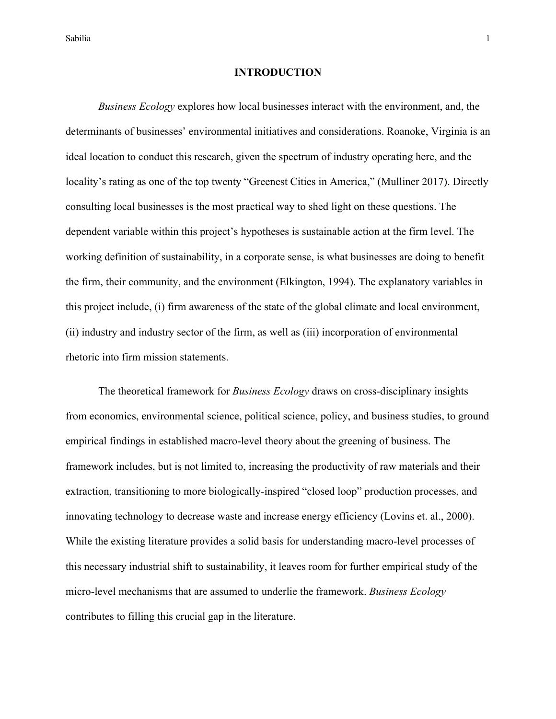### **INTRODUCTION**

*Business Ecology* explores how local businesses interact with the environment, and, the determinants of businesses' environmental initiatives and considerations. Roanoke, Virginia is an ideal location to conduct this research, given the spectrum of industry operating here, and the locality's rating as one of the top twenty "Greenest Cities in America," (Mulliner 2017). Directly consulting local businesses is the most practical way to shed light on these questions. The dependent variable within this project's hypotheses is sustainable action at the firm level. The working definition of sustainability, in a corporate sense, is what businesses are doing to benefit the firm, their community, and the environment (Elkington, 1994). The explanatory variables in this project include, (i) firm awareness of the state of the global climate and local environment, (ii) industry and industry sector of the firm, as well as (iii) incorporation of environmental rhetoric into firm mission statements.

The theoretical framework for *Business Ecology* draws on cross-disciplinary insights from economics, environmental science, political science, policy, and business studies, to ground empirical findings in established macro-level theory about the greening of business. The framework includes, but is not limited to, increasing the productivity of raw materials and their extraction, transitioning to more biologically-inspired "closed loop" production processes, and innovating technology to decrease waste and increase energy efficiency (Lovins et. al., 2000). While the existing literature provides a solid basis for understanding macro-level processes of this necessary industrial shift to sustainability, it leaves room for further empirical study of the micro-level mechanisms that are assumed to underlie the framework. *Business Ecology* contributes to filling this crucial gap in the literature.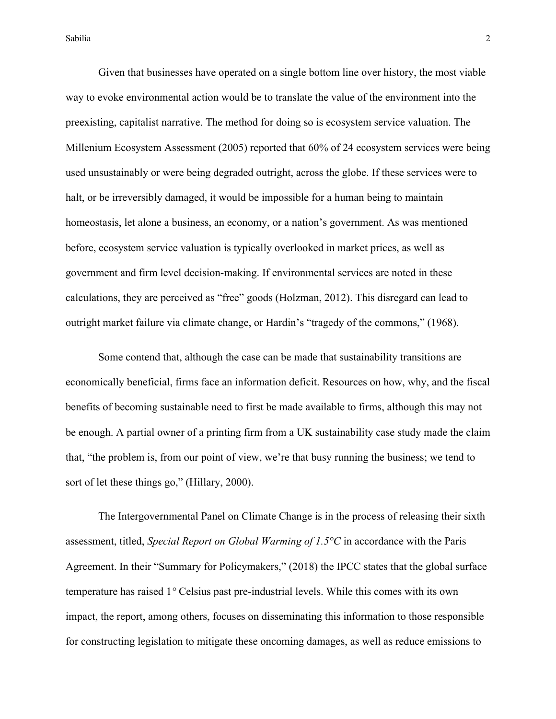Given that businesses have operated on a single bottom line over history, the most viable way to evoke environmental action would be to translate the value of the environment into the preexisting, capitalist narrative. The method for doing so is ecosystem service valuation. The Millenium Ecosystem Assessment (2005) reported that 60% of 24 ecosystem services were being used unsustainably or were being degraded outright, across the globe. If these services were to halt, or be irreversibly damaged, it would be impossible for a human being to maintain homeostasis, let alone a business, an economy, or a nation's government. As was mentioned before, ecosystem service valuation is typically overlooked in market prices, as well as government and firm level decision-making. If environmental services are noted in these calculations, they are perceived as "free" goods (Holzman, 2012). This disregard can lead to outright market failure via climate change, or Hardin's "tragedy of the commons," (1968).

Some contend that, although the case can be made that sustainability transitions are economically beneficial, firms face an information deficit. Resources on how, why, and the fiscal benefits of becoming sustainable need to first be made available to firms, although this may not be enough. A partial owner of a printing firm from a UK sustainability case study made the claim that, "the problem is, from our point of view, we're that busy running the business; we tend to sort of let these things go," (Hillary, 2000).

The Intergovernmental Panel on Climate Change is in the process of releasing their sixth assessment, titled, *Special Report on Global Warming of 1.5°C* in accordance with the Paris Agreement. In their "Summary for Policymakers," (2018) the IPCC states that the global surface temperature has raised 1*°* Celsius past pre-industrial levels. While this comes with its own impact, the report, among others, focuses on disseminating this information to those responsible for constructing legislation to mitigate these oncoming damages, as well as reduce emissions to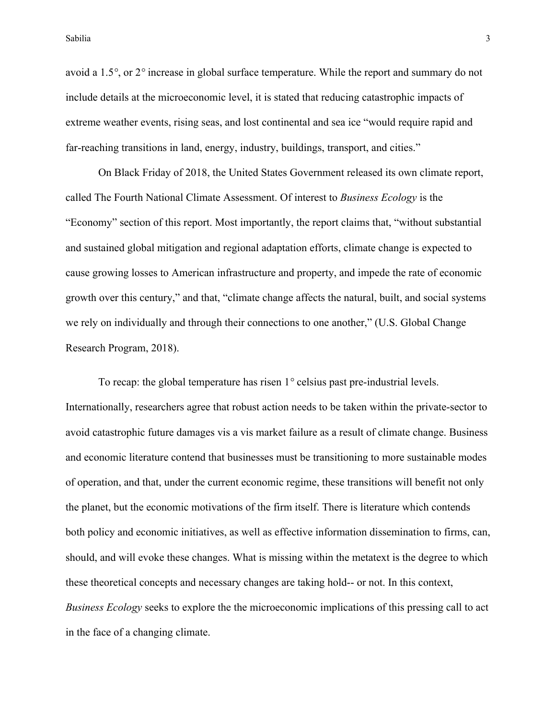avoid a 1.5*°*, or 2*°* increase in global surface temperature. While the report and summary do not include details at the microeconomic level, it is stated that reducing catastrophic impacts of extreme weather events, rising seas, and lost continental and sea ice "would require rapid and far-reaching transitions in land, energy, industry, buildings, transport, and cities."

On Black Friday of 2018, the United States Government released its own climate report, called The Fourth National Climate Assessment. Of interest to *Business Ecology* is the "Economy" section of this report. Most importantly, the report claims that, "without substantial and sustained global mitigation and regional adaptation efforts, climate change is expected to cause growing losses to American infrastructure and property, and impede the rate of economic growth over this century," and that, "climate change affects the natural, built, and social systems we rely on individually and through their connections to one another," (U.S. Global Change Research Program, 2018).

To recap: the global temperature has risen 1*°* celsius past pre-industrial levels. Internationally, researchers agree that robust action needs to be taken within the private-sector to avoid catastrophic future damages vis a vis market failure as a result of climate change. Business and economic literature contend that businesses must be transitioning to more sustainable modes of operation, and that, under the current economic regime, these transitions will benefit not only the planet, but the economic motivations of the firm itself. There is literature which contends both policy and economic initiatives, as well as effective information dissemination to firms, can, should, and will evoke these changes. What is missing within the metatext is the degree to which these theoretical concepts and necessary changes are taking hold-- or not. In this context, *Business Ecology* seeks to explore the the microeconomic implications of this pressing call to act in the face of a changing climate.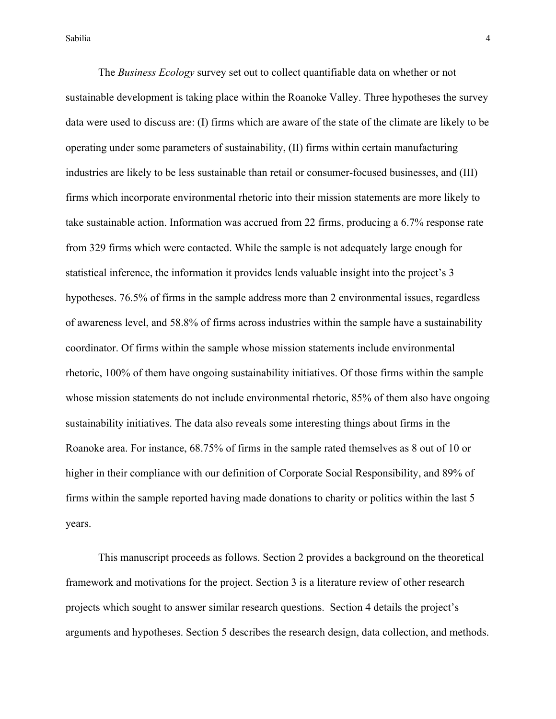The *Business Ecology* survey set out to collect quantifiable data on whether or not sustainable development is taking place within the Roanoke Valley. Three hypotheses the survey data were used to discuss are: (I) firms which are aware of the state of the climate are likely to be operating under some parameters of sustainability, (II) firms within certain manufacturing industries are likely to be less sustainable than retail or consumer-focused businesses, and (III) firms which incorporate environmental rhetoric into their mission statements are more likely to take sustainable action. Information was accrued from 22 firms, producing a 6.7% response rate from 329 firms which were contacted. While the sample is not adequately large enough for statistical inference, the information it provides lends valuable insight into the project's 3 hypotheses. 76.5% of firms in the sample address more than 2 environmental issues, regardless of awareness level, and 58.8% of firms across industries within the sample have a sustainability coordinator. Of firms within the sample whose mission statements include environmental rhetoric, 100% of them have ongoing sustainability initiatives. Of those firms within the sample whose mission statements do not include environmental rhetoric, 85% of them also have ongoing sustainability initiatives. The data also reveals some interesting things about firms in the Roanoke area. For instance, 68.75% of firms in the sample rated themselves as 8 out of 10 or higher in their compliance with our definition of Corporate Social Responsibility, and 89% of firms within the sample reported having made donations to charity or politics within the last 5 years.

This manuscript proceeds as follows. Section 2 provides a background on the theoretical framework and motivations for the project. Section 3 is a literature review of other research projects which sought to answer similar research questions. Section 4 details the project's arguments and hypotheses. Section 5 describes the research design, data collection, and methods.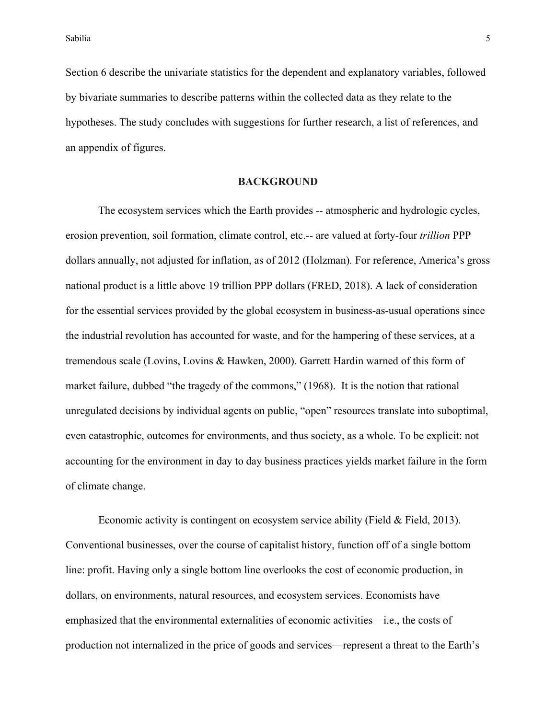Section 6 describe the univariate statistics for the dependent and explanatory variables, followed by bivariate summaries to describe patterns within the collected data as they relate to the hypotheses. The study concludes with suggestions for further research, a list of references, and an appendix of figures.

### **BACKGROUND**

The ecosystem services which the Earth provides -- atmospheric and hydrologic cycles, erosion prevention, soil formation, climate control, etc.-- are valued at forty-four *trillion* PPP dollars annually, not adjusted for inflation, as of 2012 (Holzman)*.* For reference, America's gross national product is a little above 19 trillion PPP dollars (FRED, 2018). A lack of consideration for the essential services provided by the global ecosystem in business-as-usual operations since the industrial revolution has accounted for waste, and for the hampering of these services, at a tremendous scale (Lovins, Lovins & Hawken, 2000). Garrett Hardin warned of this form of market failure, dubbed "the tragedy of the commons," (1968). It is the notion that rational unregulated decisions by individual agents on public, "open" resources translate into suboptimal, even catastrophic, outcomes for environments, and thus society, as a whole. To be explicit: not accounting for the environment in day to day business practices yields market failure in the form of climate change.

Economic activity is contingent on ecosystem service ability (Field & Field, 2013). Conventional businesses, over the course of capitalist history, function off of a single bottom line: profit. Having only a single bottom line overlooks the cost of economic production, in dollars, on environments, natural resources, and ecosystem services. Economists have emphasized that the environmental externalities of economic activities—i.e., the costs of production not internalized in the price of goods and services—represent a threat to the Earth's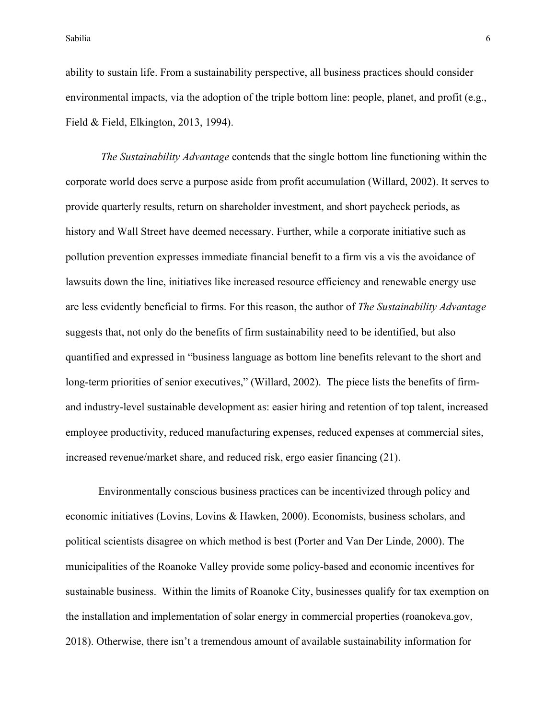ability to sustain life. From a sustainability perspective, all business practices should consider environmental impacts, via the adoption of the triple bottom line: people, planet, and profit (e.g., Field & Field, Elkington, 2013, 1994).

*The Sustainability Advantage* contends that the single bottom line functioning within the corporate world does serve a purpose aside from profit accumulation (Willard, 2002). It serves to provide quarterly results, return on shareholder investment, and short paycheck periods, as history and Wall Street have deemed necessary. Further, while a corporate initiative such as pollution prevention expresses immediate financial benefit to a firm vis a vis the avoidance of lawsuits down the line, initiatives like increased resource efficiency and renewable energy use are less evidently beneficial to firms. For this reason, the author of *The Sustainability Advantage* suggests that, not only do the benefits of firm sustainability need to be identified, but also quantified and expressed in "business language as bottom line benefits relevant to the short and long-term priorities of senior executives," (Willard, 2002). The piece lists the benefits of firmand industry-level sustainable development as: easier hiring and retention of top talent, increased employee productivity, reduced manufacturing expenses, reduced expenses at commercial sites, increased revenue/market share, and reduced risk, ergo easier financing (21).

Environmentally conscious business practices can be incentivized through policy and economic initiatives (Lovins, Lovins & Hawken, 2000). Economists, business scholars, and political scientists disagree on which method is best (Porter and Van Der Linde, 2000). The municipalities of the Roanoke Valley provide some policy-based and economic incentives for sustainable business. Within the limits of Roanoke City, businesses qualify for tax exemption on the installation and implementation of solar energy in commercial properties (roanokeva.gov, 2018). Otherwise, there isn't a tremendous amount of available sustainability information for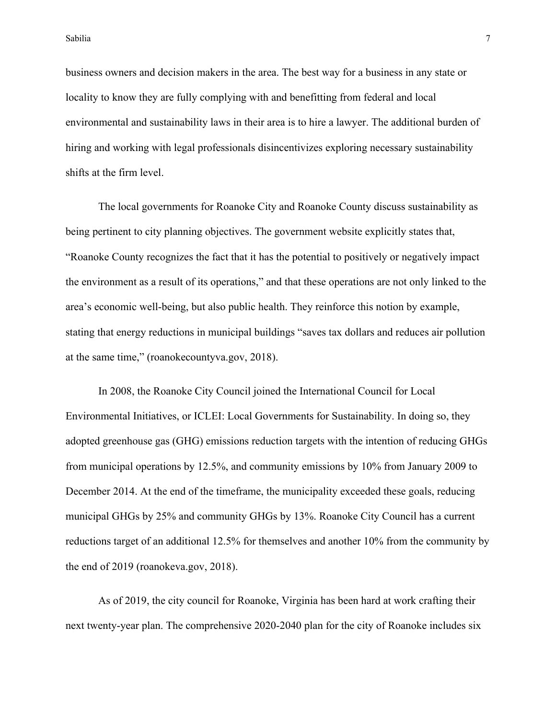Sabilia **7** and 2011 11:30 and 2012 12:30 and 2012 12:30 and 2012 12:30 and 2012 12:30 and 2012 12:30 and 2012 12:30 and 2012 12:30 and 2012 12:30 and 2012 12:30 and 2012 12:30 and 2012 12:30 and 2012 12:30 and 2012 12:30

business owners and decision makers in the area. The best way for a business in any state or locality to know they are fully complying with and benefitting from federal and local environmental and sustainability laws in their area is to hire a lawyer. The additional burden of hiring and working with legal professionals disincentivizes exploring necessary sustainability shifts at the firm level.

The local governments for Roanoke City and Roanoke County discuss sustainability as being pertinent to city planning objectives. The government website explicitly states that, "Roanoke County recognizes the fact that it has the potential to positively or negatively impact the environment as a result of its operations," and that these operations are not only linked to the area's economic well-being, but also public health. They reinforce this notion by example, stating that energy reductions in municipal buildings "saves tax dollars and reduces air pollution at the same time," (roanokecountyva.gov, 2018).

In 2008, the Roanoke City Council joined the International Council for Local Environmental Initiatives, or ICLEI: Local Governments for Sustainability. In doing so, they adopted greenhouse gas (GHG) emissions reduction targets with the intention of reducing GHGs from municipal operations by 12.5%, and community emissions by 10% from January 2009 to December 2014. At the end of the timeframe, the municipality exceeded these goals, reducing municipal GHGs by 25% and community GHGs by 13%. Roanoke City Council has a current reductions target of an additional 12.5% for themselves and another 10% from the community by the end of 2019 (roanokeva.gov, 2018).

As of 2019, the city council for Roanoke, Virginia has been hard at work crafting their next twenty-year plan. The comprehensive 2020-2040 plan for the city of Roanoke includes six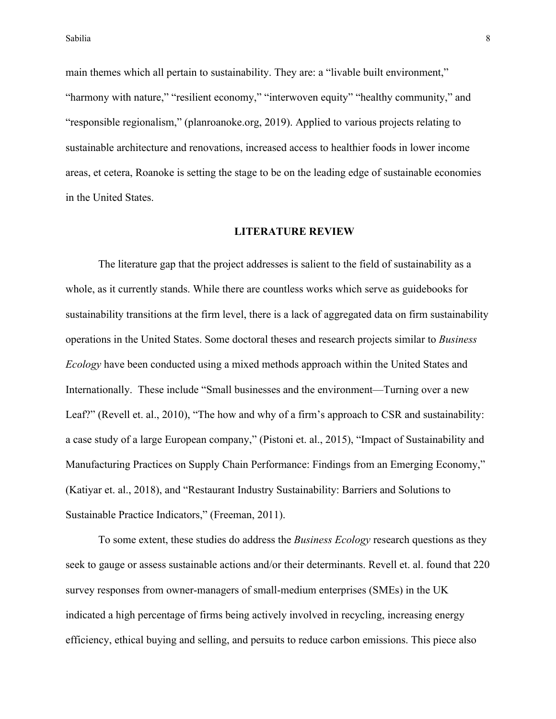main themes which all pertain to sustainability. They are: a "livable built environment," "harmony with nature," "resilient economy," "interwoven equity" "healthy community," and "responsible regionalism," (planroanoke.org, 2019). Applied to various projects relating to sustainable architecture and renovations, increased access to healthier foods in lower income areas, et cetera, Roanoke is setting the stage to be on the leading edge of sustainable economies in the United States.

#### **LITERATURE REVIEW**

The literature gap that the project addresses is salient to the field of sustainability as a whole, as it currently stands. While there are countless works which serve as guidebooks for sustainability transitions at the firm level, there is a lack of aggregated data on firm sustainability operations in the United States. Some doctoral theses and research projects similar to *Business Ecology* have been conducted using a mixed methods approach within the United States and Internationally. These include "Small businesses and the environment—Turning over a new Leaf?" (Revell et. al., 2010), "The how and why of a firm's approach to CSR and sustainability: a case study of a large European company," (Pistoni et. al., 2015), "Impact of Sustainability and Manufacturing Practices on Supply Chain Performance: Findings from an Emerging Economy," (Katiyar et. al., 2018), and "Restaurant Industry Sustainability: Barriers and Solutions to Sustainable Practice Indicators," (Freeman, 2011).

To some extent, these studies do address the *Business Ecology* research questions as they seek to gauge or assess sustainable actions and/or their determinants. Revell et. al. found that 220 survey responses from owner-managers of small-medium enterprises (SMEs) in the UK indicated a high percentage of firms being actively involved in recycling, increasing energy efficiency, ethical buying and selling, and persuits to reduce carbon emissions. This piece also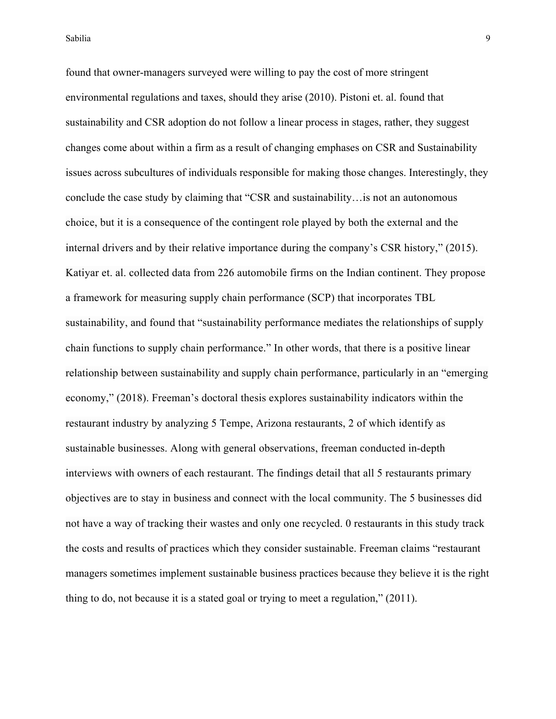found that owner-managers surveyed were willing to pay the cost of more stringent environmental regulations and taxes, should they arise (2010). Pistoni et. al. found that sustainability and CSR adoption do not follow a linear process in stages, rather, they suggest changes come about within a firm as a result of changing emphases on CSR and Sustainability issues across subcultures of individuals responsible for making those changes. Interestingly, they conclude the case study by claiming that "CSR and sustainability…is not an autonomous choice, but it is a consequence of the contingent role played by both the external and the internal drivers and by their relative importance during the company's CSR history," (2015). Katiyar et. al. collected data from 226 automobile firms on the Indian continent. They propose a framework for measuring supply chain performance (SCP) that incorporates TBL sustainability, and found that "sustainability performance mediates the relationships of supply chain functions to supply chain performance." In other words, that there is a positive linear relationship between sustainability and supply chain performance, particularly in an "emerging economy," (2018). Freeman's doctoral thesis explores sustainability indicators within the restaurant industry by analyzing 5 Tempe, Arizona restaurants, 2 of which identify as sustainable businesses. Along with general observations, freeman conducted in-depth interviews with owners of each restaurant. The findings detail that all 5 restaurants primary objectives are to stay in business and connect with the local community. The 5 businesses did not have a way of tracking their wastes and only one recycled. 0 restaurants in this study track the costs and results of practices which they consider sustainable. Freeman claims "restaurant managers sometimes implement sustainable business practices because they believe it is the right thing to do, not because it is a stated goal or trying to meet a regulation," (2011).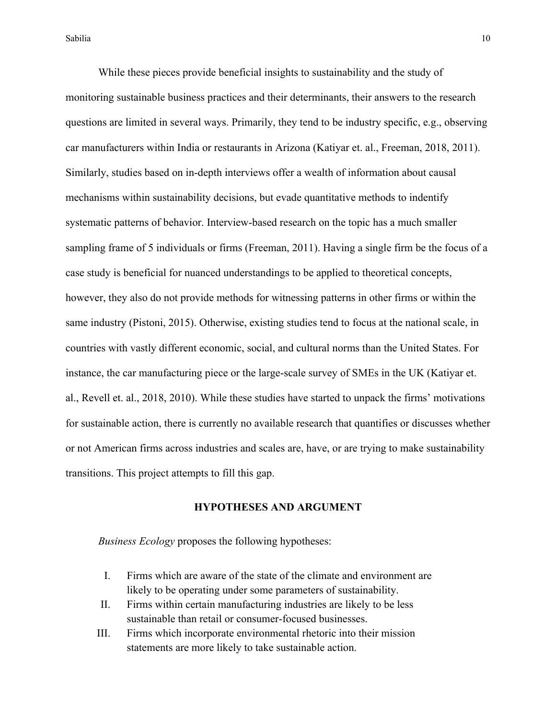While these pieces provide beneficial insights to sustainability and the study of monitoring sustainable business practices and their determinants, their answers to the research questions are limited in several ways. Primarily, they tend to be industry specific, e.g., observing car manufacturers within India or restaurants in Arizona (Katiyar et. al., Freeman, 2018, 2011). Similarly, studies based on in-depth interviews offer a wealth of information about causal mechanisms within sustainability decisions, but evade quantitative methods to indentify systematic patterns of behavior. Interview-based research on the topic has a much smaller sampling frame of 5 individuals or firms (Freeman, 2011). Having a single firm be the focus of a case study is beneficial for nuanced understandings to be applied to theoretical concepts, however, they also do not provide methods for witnessing patterns in other firms or within the same industry (Pistoni, 2015). Otherwise, existing studies tend to focus at the national scale, in countries with vastly different economic, social, and cultural norms than the United States. For instance, the car manufacturing piece or the large-scale survey of SMEs in the UK (Katiyar et. al., Revell et. al., 2018, 2010). While these studies have started to unpack the firms' motivations for sustainable action, there is currently no available research that quantifies or discusses whether or not American firms across industries and scales are, have, or are trying to make sustainability transitions. This project attempts to fill this gap.

### **HYPOTHESES AND ARGUMENT**

*Business Ecology* proposes the following hypotheses:

- I. Firms which are aware of the state of the climate and environment are likely to be operating under some parameters of sustainability.
- II. Firms within certain manufacturing industries are likely to be less sustainable than retail or consumer-focused businesses.
- III. Firms which incorporate environmental rhetoric into their mission statements are more likely to take sustainable action.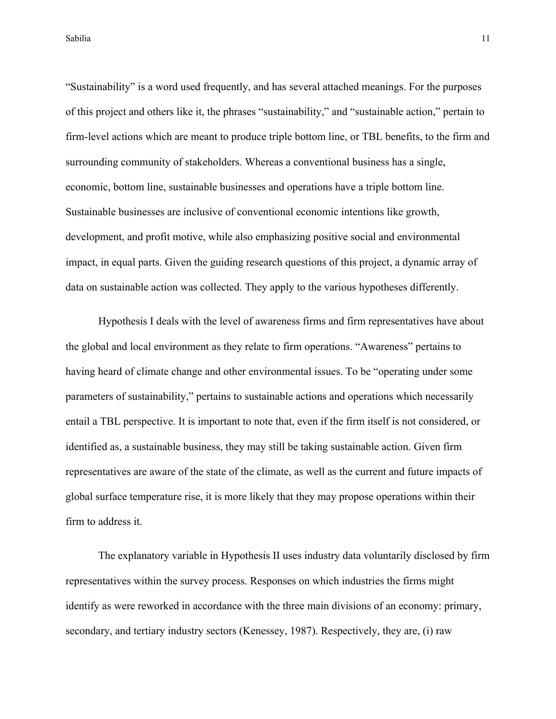"Sustainability" is a word used frequently, and has several attached meanings. For the purposes of this project and others like it, the phrases "sustainability," and "sustainable action," pertain to firm-level actions which are meant to produce triple bottom line, or TBL benefits, to the firm and surrounding community of stakeholders. Whereas a conventional business has a single, economic, bottom line, sustainable businesses and operations have a triple bottom line. Sustainable businesses are inclusive of conventional economic intentions like growth, development, and profit motive, while also emphasizing positive social and environmental impact, in equal parts. Given the guiding research questions of this project, a dynamic array of data on sustainable action was collected. They apply to the various hypotheses differently.

Hypothesis I deals with the level of awareness firms and firm representatives have about the global and local environment as they relate to firm operations. "Awareness" pertains to having heard of climate change and other environmental issues. To be "operating under some parameters of sustainability," pertains to sustainable actions and operations which necessarily entail a TBL perspective. It is important to note that, even if the firm itself is not considered, or identified as, a sustainable business, they may still be taking sustainable action. Given firm representatives are aware of the state of the climate, as well as the current and future impacts of global surface temperature rise, it is more likely that they may propose operations within their firm to address it.

The explanatory variable in Hypothesis II uses industry data voluntarily disclosed by firm representatives within the survey process. Responses on which industries the firms might identify as were reworked in accordance with the three main divisions of an economy: primary, secondary, and tertiary industry sectors (Kenessey, 1987). Respectively, they are, (i) raw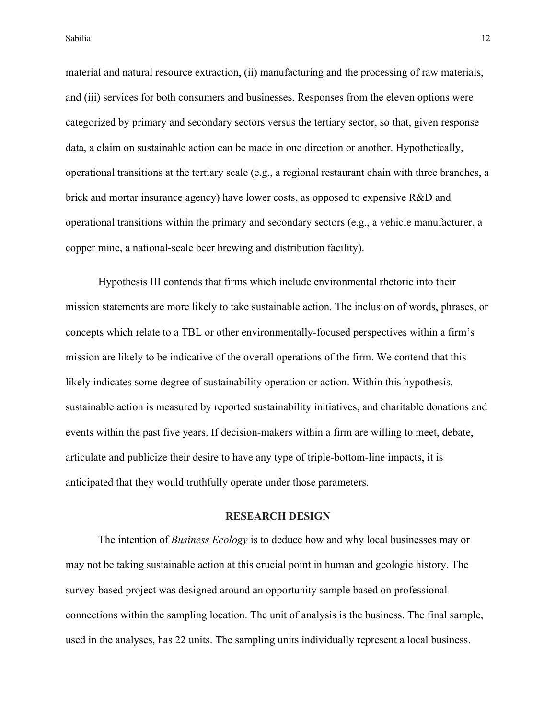material and natural resource extraction, (ii) manufacturing and the processing of raw materials, and (iii) services for both consumers and businesses. Responses from the eleven options were categorized by primary and secondary sectors versus the tertiary sector, so that, given response data, a claim on sustainable action can be made in one direction or another. Hypothetically, operational transitions at the tertiary scale (e.g., a regional restaurant chain with three branches, a brick and mortar insurance agency) have lower costs, as opposed to expensive R&D and operational transitions within the primary and secondary sectors (e.g., a vehicle manufacturer, a copper mine, a national-scale beer brewing and distribution facility).

Hypothesis III contends that firms which include environmental rhetoric into their mission statements are more likely to take sustainable action. The inclusion of words, phrases, or concepts which relate to a TBL or other environmentally-focused perspectives within a firm's mission are likely to be indicative of the overall operations of the firm. We contend that this likely indicates some degree of sustainability operation or action. Within this hypothesis, sustainable action is measured by reported sustainability initiatives, and charitable donations and events within the past five years. If decision-makers within a firm are willing to meet, debate, articulate and publicize their desire to have any type of triple-bottom-line impacts, it is anticipated that they would truthfully operate under those parameters.

### **RESEARCH DESIGN**

The intention of *Business Ecology* is to deduce how and why local businesses may or may not be taking sustainable action at this crucial point in human and geologic history. The survey-based project was designed around an opportunity sample based on professional connections within the sampling location. The unit of analysis is the business. The final sample, used in the analyses, has 22 units. The sampling units individually represent a local business.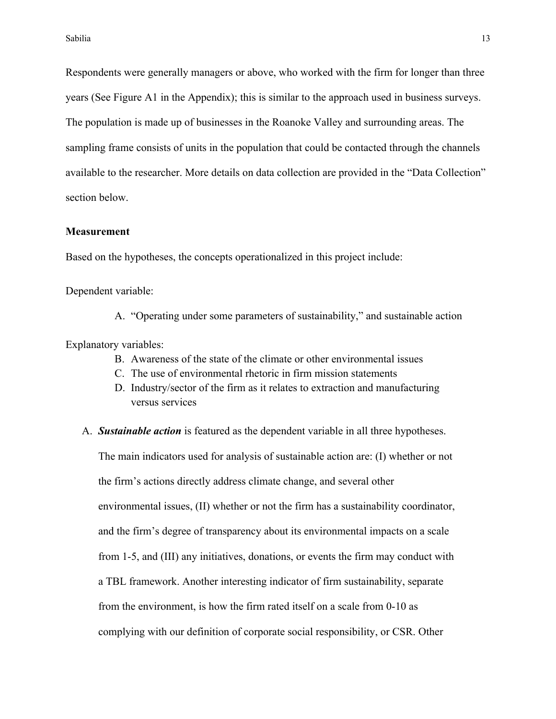Respondents were generally managers or above, who worked with the firm for longer than three years (See Figure A1 in the Appendix); this is similar to the approach used in business surveys. The population is made up of businesses in the Roanoke Valley and surrounding areas. The sampling frame consists of units in the population that could be contacted through the channels available to the researcher. More details on data collection are provided in the "Data Collection" section below.

#### **Measurement**

Based on the hypotheses, the concepts operationalized in this project include:

Dependent variable:

A. "Operating under some parameters of sustainability," and sustainable action

Explanatory variables:

- B. Awareness of the state of the climate or other environmental issues
- C. The use of environmental rhetoric in firm mission statements
- D. Industry/sector of the firm as it relates to extraction and manufacturing versus services
- A. *Sustainable action* is featured as the dependent variable in all three hypotheses.

The main indicators used for analysis of sustainable action are: (I) whether or not the firm's actions directly address climate change, and several other environmental issues, (II) whether or not the firm has a sustainability coordinator, and the firm's degree of transparency about its environmental impacts on a scale from 1-5, and (III) any initiatives, donations, or events the firm may conduct with a TBL framework. Another interesting indicator of firm sustainability, separate from the environment, is how the firm rated itself on a scale from 0-10 as complying with our definition of corporate social responsibility, or CSR. Other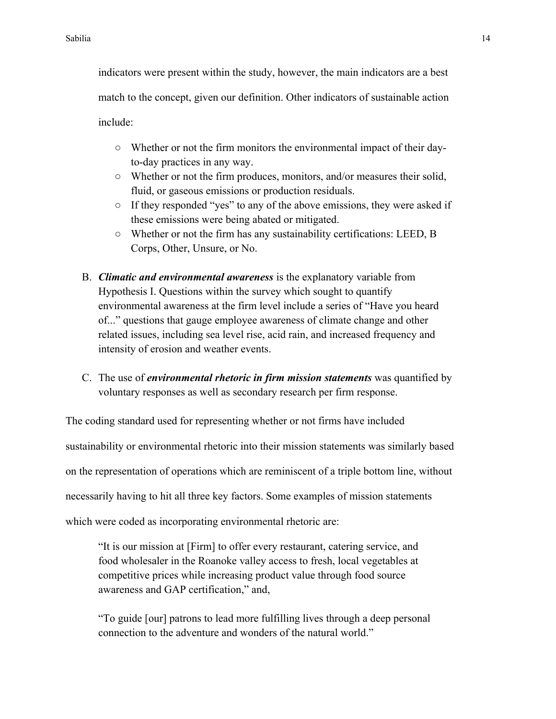indicators were present within the study, however, the main indicators are a best match to the concept, given our definition. Other indicators of sustainable action include:

- Whether or not the firm monitors the environmental impact of their dayto-day practices in any way.
- Whether or not the firm produces, monitors, and/or measures their solid, fluid, or gaseous emissions or production residuals.
- If they responded "yes" to any of the above emissions, they were asked if these emissions were being abated or mitigated.
- Whether or not the firm has any sustainability certifications: LEED, B Corps, Other, Unsure, or No.
- B. *Climatic and environmental awareness* is the explanatory variable from Hypothesis I. Questions within the survey which sought to quantify environmental awareness at the firm level include a series of "Have you heard of..." questions that gauge employee awareness of climate change and other related issues, including sea level rise, acid rain, and increased frequency and intensity of erosion and weather events.
- C. The use of *environmental rhetoric in firm mission statements* was quantified by voluntary responses as well as secondary research per firm response.

The coding standard used for representing whether or not firms have included sustainability or environmental rhetoric into their mission statements was similarly based on the representation of operations which are reminiscent of a triple bottom line, without necessarily having to hit all three key factors. Some examples of mission statements which were coded as incorporating environmental rhetoric are:

"It is our mission at [Firm] to offer every restaurant, catering service, and food wholesaler in the Roanoke valley access to fresh, local vegetables at competitive prices while increasing product value through food source awareness and GAP certification," and,

"To guide [our] patrons to lead more fulfilling lives through a deep personal connection to the adventure and wonders of the natural world."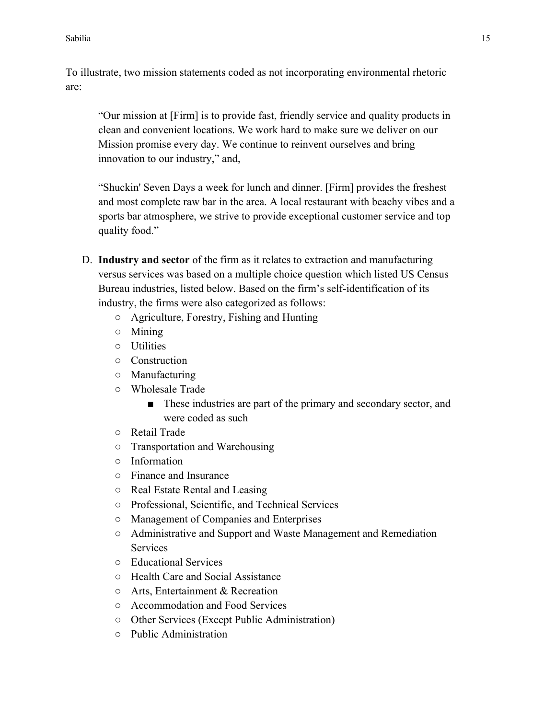To illustrate, two mission statements coded as not incorporating environmental rhetoric are:

"Our mission at [Firm] is to provide fast, friendly service and quality products in clean and convenient locations. We work hard to make sure we deliver on our Mission promise every day. We continue to reinvent ourselves and bring innovation to our industry," and,

"Shuckin' Seven Days a week for lunch and dinner. [Firm] provides the freshest and most complete raw bar in the area. A local restaurant with beachy vibes and a sports bar atmosphere, we strive to provide exceptional customer service and top quality food."

- D. **Industry and sector** of the firm as it relates to extraction and manufacturing versus services was based on a multiple choice question which listed US Census Bureau industries, listed below. Based on the firm's self-identification of its industry, the firms were also categorized as follows:
	- Agriculture, Forestry, Fishing and Hunting
	- Mining
	- Utilities
	- Construction
	- Manufacturing
	- Wholesale Trade
		- These industries are part of the primary and secondary sector, and were coded as such
	- Retail Trade
	- Transportation and Warehousing
	- Information
	- Finance and Insurance
	- Real Estate Rental and Leasing
	- Professional, Scientific, and Technical Services
	- Management of Companies and Enterprises
	- Administrative and Support and Waste Management and Remediation Services
	- Educational Services
	- Health Care and Social Assistance
	- Arts, Entertainment & Recreation
	- Accommodation and Food Services
	- Other Services (Except Public Administration)
	- Public Administration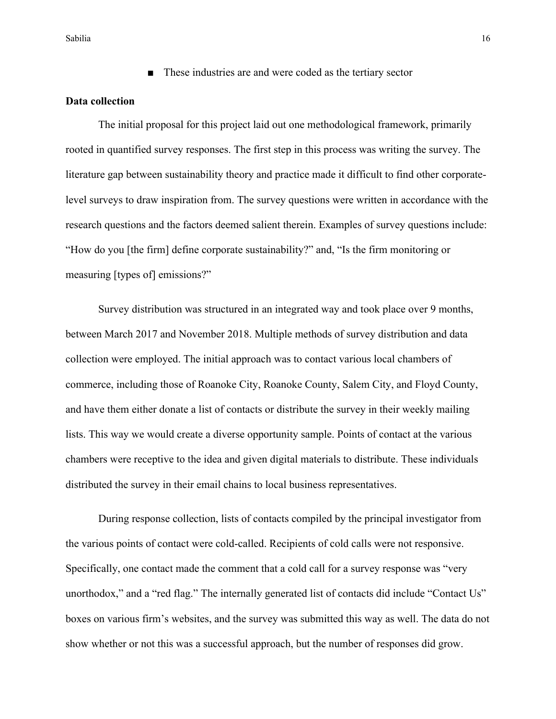Sabilia **16 anos 16 anos 16 anos 16 anos 16 anos 16 anos 16 anos 16 anos 16 anos 16 anos 16 anos 16 anos 16 anos 16 anos 16 anos 16 anos 16 anos 16 anos 16 anos 16 anos 16 anos 16 anos 16 anos 16 anos 17 anos 17 anos 17 an** 

■ These industries are and were coded as the tertiary sector

## **Data collection**

The initial proposal for this project laid out one methodological framework, primarily rooted in quantified survey responses. The first step in this process was writing the survey. The literature gap between sustainability theory and practice made it difficult to find other corporatelevel surveys to draw inspiration from. The survey questions were written in accordance with the research questions and the factors deemed salient therein. Examples of survey questions include: "How do you [the firm] define corporate sustainability?" and, "Is the firm monitoring or measuring [types of] emissions?"

Survey distribution was structured in an integrated way and took place over 9 months, between March 2017 and November 2018. Multiple methods of survey distribution and data collection were employed. The initial approach was to contact various local chambers of commerce, including those of Roanoke City, Roanoke County, Salem City, and Floyd County, and have them either donate a list of contacts or distribute the survey in their weekly mailing lists. This way we would create a diverse opportunity sample. Points of contact at the various chambers were receptive to the idea and given digital materials to distribute. These individuals distributed the survey in their email chains to local business representatives.

During response collection, lists of contacts compiled by the principal investigator from the various points of contact were cold-called. Recipients of cold calls were not responsive. Specifically, one contact made the comment that a cold call for a survey response was "very unorthodox," and a "red flag." The internally generated list of contacts did include "Contact Us" boxes on various firm's websites, and the survey was submitted this way as well. The data do not show whether or not this was a successful approach, but the number of responses did grow.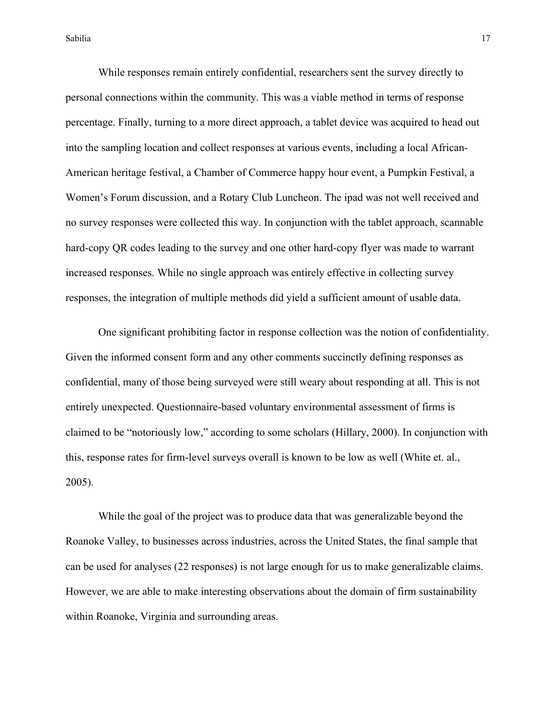While responses remain entirely confidential, researchers sent the survey directly to personal connections within the community. This was a viable method in terms of response percentage. Finally, turning to a more direct approach, a tablet device was acquired to head out into the sampling location and collect responses at various events, including a local African-American heritage festival, a Chamber of Commerce happy hour event, a Pumpkin Festival, a Women's Forum discussion, and a Rotary Club Luncheon. The ipad was not well received and no survey responses were collected this way. In conjunction with the tablet approach, scannable hard-copy QR codes leading to the survey and one other hard-copy flyer was made to warrant increased responses. While no single approach was entirely effective in collecting survey responses, the integration of multiple methods did yield a sufficient amount of usable data.

One significant prohibiting factor in response collection was the notion of confidentiality. Given the informed consent form and any other comments succinctly defining responses as confidential, many of those being surveyed were still weary about responding at all. This is not entirely unexpected. Questionnaire-based voluntary environmental assessment of firms is claimed to be "notoriously low," according to some scholars (Hillary, 2000). In conjunction with this, response rates for firm-level surveys overall is known to be low as well (White et. al., 2005).

While the goal of the project was to produce data that was generalizable beyond the Roanoke Valley, to businesses across industries, across the United States, the final sample that can be used for analyses (22 responses) is not large enough for us to make generalizable claims. However, we are able to make interesting observations about the domain of firm sustainability within Roanoke, Virginia and surrounding areas.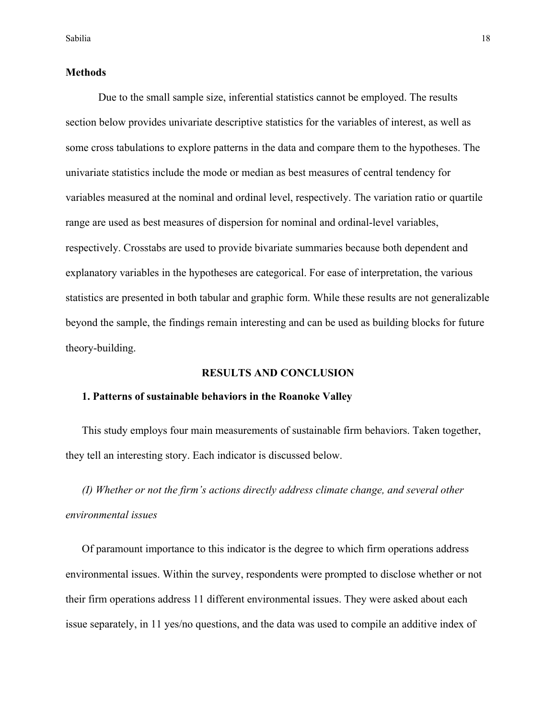### **Methods**

Due to the small sample size, inferential statistics cannot be employed. The results section below provides univariate descriptive statistics for the variables of interest, as well as some cross tabulations to explore patterns in the data and compare them to the hypotheses. The univariate statistics include the mode or median as best measures of central tendency for variables measured at the nominal and ordinal level, respectively. The variation ratio or quartile range are used as best measures of dispersion for nominal and ordinal-level variables, respectively. Crosstabs are used to provide bivariate summaries because both dependent and explanatory variables in the hypotheses are categorical. For ease of interpretation, the various statistics are presented in both tabular and graphic form. While these results are not generalizable beyond the sample, the findings remain interesting and can be used as building blocks for future theory-building.

### **RESULTS AND CONCLUSION**

## **1. Patterns of sustainable behaviors in the Roanoke Valley**

This study employs four main measurements of sustainable firm behaviors. Taken together, they tell an interesting story. Each indicator is discussed below.

*(I) Whether or not the firm's actions directly address climate change, and several other environmental issues* 

Of paramount importance to this indicator is the degree to which firm operations address environmental issues. Within the survey, respondents were prompted to disclose whether or not their firm operations address 11 different environmental issues. They were asked about each issue separately, in 11 yes/no questions, and the data was used to compile an additive index of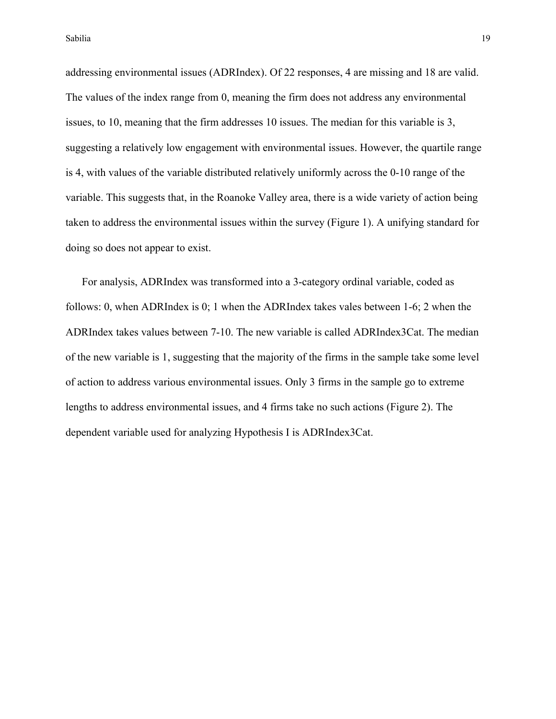Sabilia <del>1999 - 1999 - 1999 - 1999 - 1999 - 1999 - 1999 - 1999 - 1999 - 1999 - 1999 - 1999 - 1999 - 1999 - 1999 - 19</del>

addressing environmental issues (ADRIndex). Of 22 responses, 4 are missing and 18 are valid. The values of the index range from 0, meaning the firm does not address any environmental issues, to 10, meaning that the firm addresses 10 issues. The median for this variable is 3, suggesting a relatively low engagement with environmental issues. However, the quartile range is 4, with values of the variable distributed relatively uniformly across the 0-10 range of the variable. This suggests that, in the Roanoke Valley area, there is a wide variety of action being taken to address the environmental issues within the survey (Figure 1). A unifying standard for doing so does not appear to exist.

For analysis, ADRIndex was transformed into a 3-category ordinal variable, coded as follows: 0, when ADRIndex is 0; 1 when the ADRIndex takes vales between 1-6; 2 when the ADRIndex takes values between 7-10. The new variable is called ADRIndex3Cat. The median of the new variable is 1, suggesting that the majority of the firms in the sample take some level of action to address various environmental issues. Only 3 firms in the sample go to extreme lengths to address environmental issues, and 4 firms take no such actions (Figure 2). The dependent variable used for analyzing Hypothesis I is ADRIndex3Cat.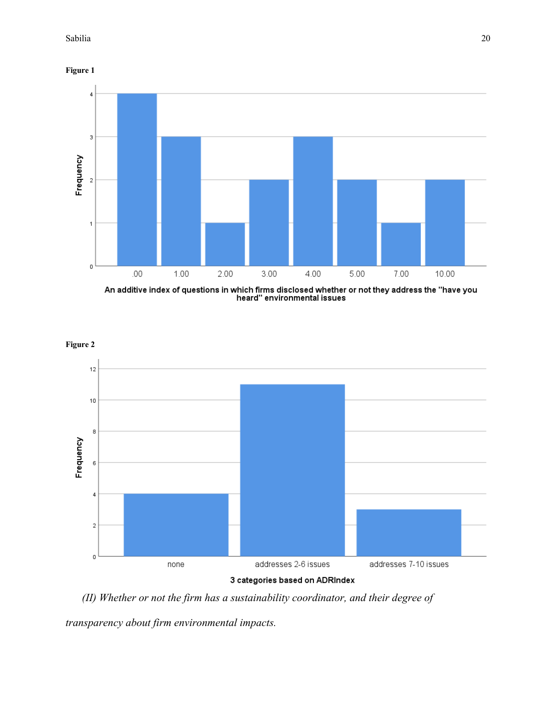**Figure 1**



An additive index of questions in which firms disclosed whether or not they address the "have you<br>heard" environmental issues



*(II) Whether or not the firm has a sustainability coordinator, and their degree of* 

*transparency about firm environmental impacts.*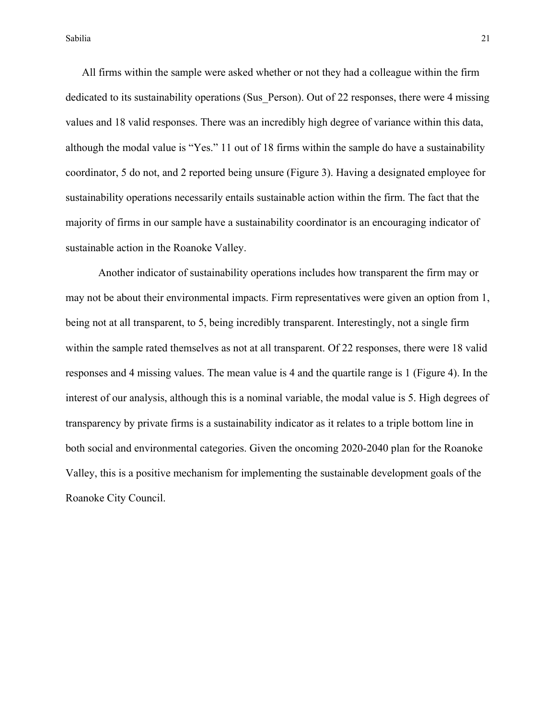All firms within the sample were asked whether or not they had a colleague within the firm dedicated to its sustainability operations (Sus Person). Out of 22 responses, there were 4 missing values and 18 valid responses. There was an incredibly high degree of variance within this data, although the modal value is "Yes." 11 out of 18 firms within the sample do have a sustainability coordinator, 5 do not, and 2 reported being unsure (Figure 3). Having a designated employee for sustainability operations necessarily entails sustainable action within the firm. The fact that the majority of firms in our sample have a sustainability coordinator is an encouraging indicator of sustainable action in the Roanoke Valley.

Another indicator of sustainability operations includes how transparent the firm may or may not be about their environmental impacts. Firm representatives were given an option from 1, being not at all transparent, to 5, being incredibly transparent. Interestingly, not a single firm within the sample rated themselves as not at all transparent. Of 22 responses, there were 18 valid responses and 4 missing values. The mean value is 4 and the quartile range is 1 (Figure 4). In the interest of our analysis, although this is a nominal variable, the modal value is 5. High degrees of transparency by private firms is a sustainability indicator as it relates to a triple bottom line in both social and environmental categories. Given the oncoming 2020-2040 plan for the Roanoke Valley, this is a positive mechanism for implementing the sustainable development goals of the Roanoke City Council.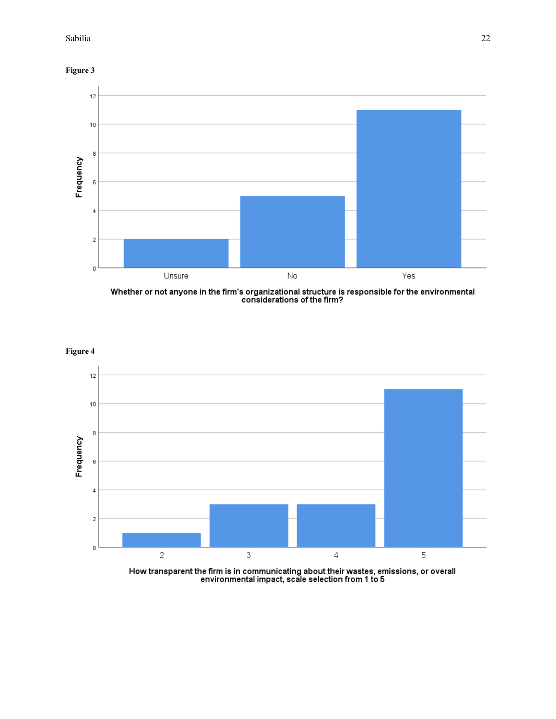**Figure 3**



Whether or not anyone in the firm's organizational structure is responsible for the environmental<br>considerations of the firm?



How transparent the firm is in communicating about their wastes, emissions, or overall<br>environmental impact, scale selection from 1 to 5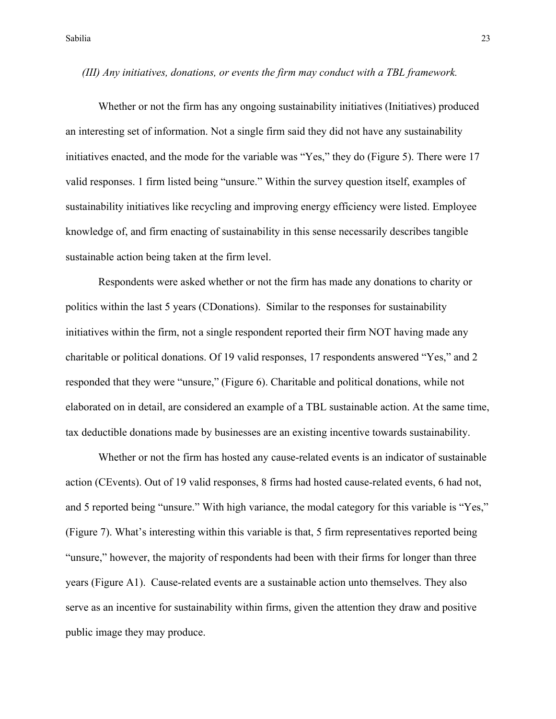### *(III) Any initiatives, donations, or events the firm may conduct with a TBL framework.*

Whether or not the firm has any ongoing sustainability initiatives (Initiatives) produced an interesting set of information. Not a single firm said they did not have any sustainability initiatives enacted, and the mode for the variable was "Yes," they do (Figure 5). There were 17 valid responses. 1 firm listed being "unsure." Within the survey question itself, examples of sustainability initiatives like recycling and improving energy efficiency were listed. Employee knowledge of, and firm enacting of sustainability in this sense necessarily describes tangible sustainable action being taken at the firm level.

Respondents were asked whether or not the firm has made any donations to charity or politics within the last 5 years (CDonations). Similar to the responses for sustainability initiatives within the firm, not a single respondent reported their firm NOT having made any charitable or political donations. Of 19 valid responses, 17 respondents answered "Yes," and 2 responded that they were "unsure," (Figure 6). Charitable and political donations, while not elaborated on in detail, are considered an example of a TBL sustainable action. At the same time, tax deductible donations made by businesses are an existing incentive towards sustainability.

Whether or not the firm has hosted any cause-related events is an indicator of sustainable action (CEvents). Out of 19 valid responses, 8 firms had hosted cause-related events, 6 had not, and 5 reported being "unsure." With high variance, the modal category for this variable is "Yes," (Figure 7). What's interesting within this variable is that, 5 firm representatives reported being "unsure," however, the majority of respondents had been with their firms for longer than three years (Figure A1). Cause-related events are a sustainable action unto themselves. They also serve as an incentive for sustainability within firms, given the attention they draw and positive public image they may produce.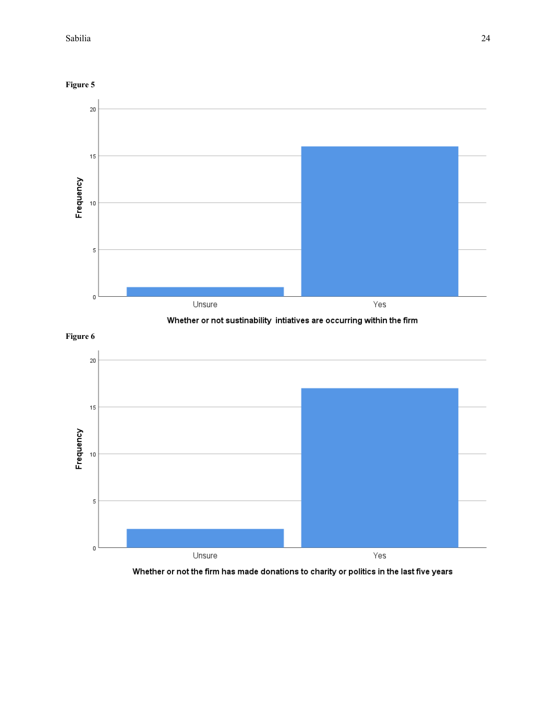





**Figure 6**



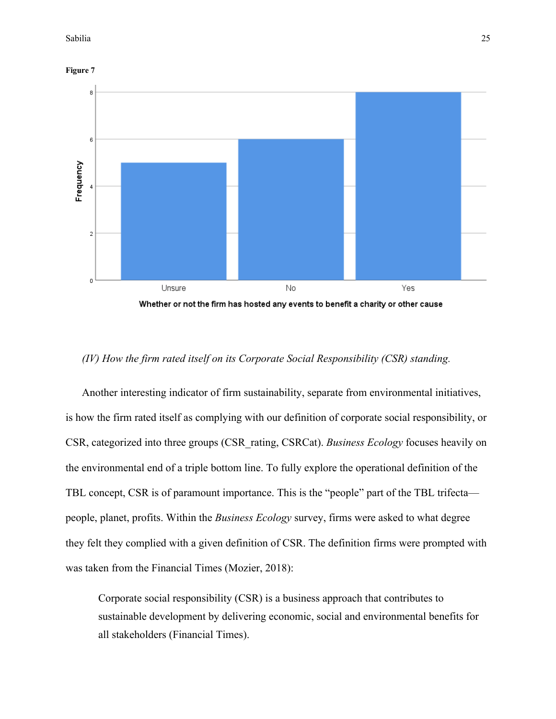



## Whether or not the firm has hosted any events to benefit a charity or other cause

## *(IV) How the firm rated itself on its Corporate Social Responsibility (CSR) standing.*

Another interesting indicator of firm sustainability, separate from environmental initiatives, is how the firm rated itself as complying with our definition of corporate social responsibility, or CSR, categorized into three groups (CSR\_rating, CSRCat). *Business Ecology* focuses heavily on the environmental end of a triple bottom line. To fully explore the operational definition of the TBL concept, CSR is of paramount importance. This is the "people" part of the TBL trifecta people, planet, profits. Within the *Business Ecology* survey, firms were asked to what degree they felt they complied with a given definition of CSR. The definition firms were prompted with was taken from the Financial Times (Mozier, 2018):

Corporate social responsibility (CSR) is a business approach that contributes to sustainable development by delivering economic, social and environmental benefits for all stakeholders (Financial Times).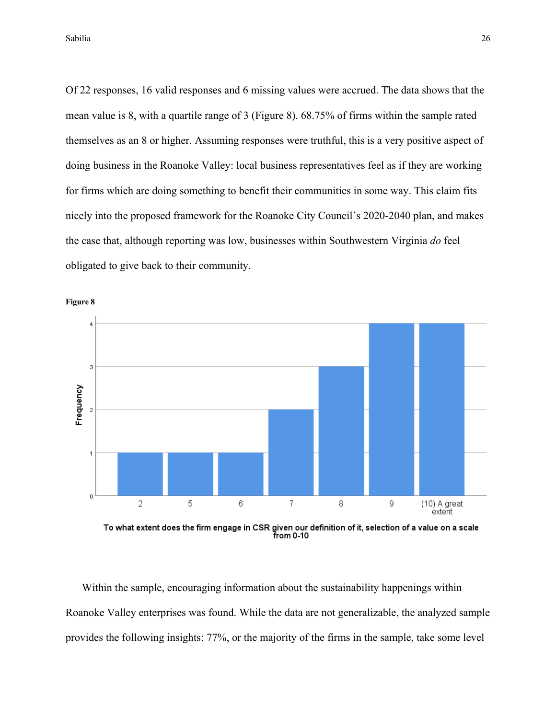Of 22 responses, 16 valid responses and 6 missing values were accrued. The data shows that the mean value is 8, with a quartile range of 3 (Figure 8). 68.75% of firms within the sample rated themselves as an 8 or higher. Assuming responses were truthful, this is a very positive aspect of doing business in the Roanoke Valley: local business representatives feel as if they are working for firms which are doing something to benefit their communities in some way. This claim fits nicely into the proposed framework for the Roanoke City Council's 2020-2040 plan, and makes the case that, although reporting was low, businesses within Southwestern Virginia *do* feel obligated to give back to their community.





To what extent does the firm engage in CSR given our definition of it, selection of a value on a scale from 0-10

Within the sample, encouraging information about the sustainability happenings within Roanoke Valley enterprises was found. While the data are not generalizable, the analyzed sample provides the following insights: 77%, or the majority of the firms in the sample, take some level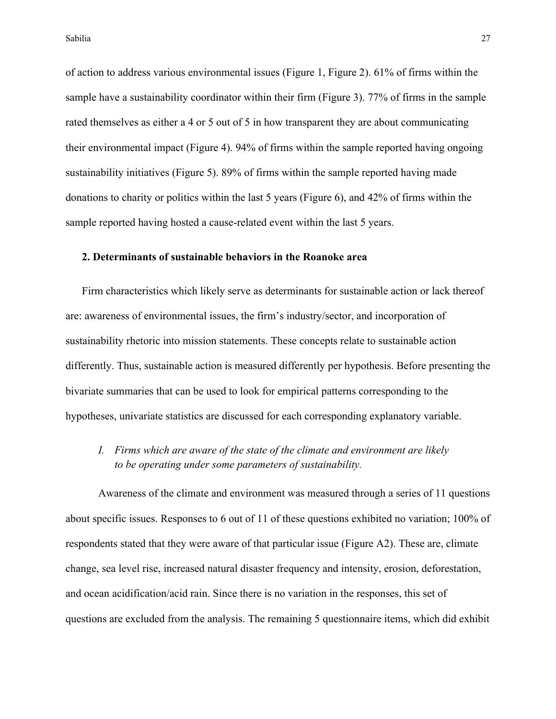of action to address various environmental issues (Figure 1, Figure 2). 61% of firms within the sample have a sustainability coordinator within their firm (Figure 3). 77% of firms in the sample rated themselves as either a 4 or 5 out of 5 in how transparent they are about communicating their environmental impact (Figure 4). 94% of firms within the sample reported having ongoing sustainability initiatives (Figure 5). 89% of firms within the sample reported having made donations to charity or politics within the last 5 years (Figure 6), and 42% of firms within the sample reported having hosted a cause-related event within the last 5 years.

## **2. Determinants of sustainable behaviors in the Roanoke area**

Firm characteristics which likely serve as determinants for sustainable action or lack thereof are: awareness of environmental issues, the firm's industry/sector, and incorporation of sustainability rhetoric into mission statements. These concepts relate to sustainable action differently. Thus, sustainable action is measured differently per hypothesis. Before presenting the bivariate summaries that can be used to look for empirical patterns corresponding to the hypotheses, univariate statistics are discussed for each corresponding explanatory variable.

*I. Firms which are aware of the state of the climate and environment are likely to be operating under some parameters of sustainability.*

Awareness of the climate and environment was measured through a series of 11 questions about specific issues. Responses to 6 out of 11 of these questions exhibited no variation; 100% of respondents stated that they were aware of that particular issue (Figure A2). These are, climate change, sea level rise, increased natural disaster frequency and intensity, erosion, deforestation, and ocean acidification/acid rain. Since there is no variation in the responses, this set of questions are excluded from the analysis. The remaining 5 questionnaire items, which did exhibit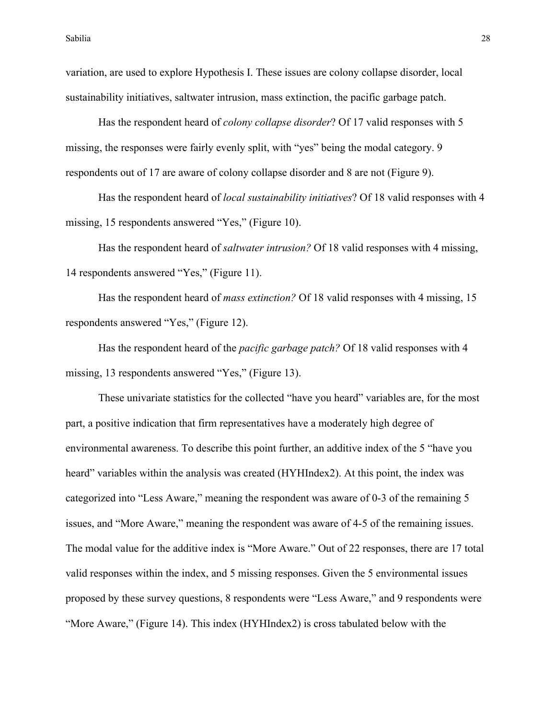variation, are used to explore Hypothesis I. These issues are colony collapse disorder, local sustainability initiatives, saltwater intrusion, mass extinction, the pacific garbage patch.

Has the respondent heard of *colony collapse disorder*? Of 17 valid responses with 5 missing, the responses were fairly evenly split, with "yes" being the modal category. 9 respondents out of 17 are aware of colony collapse disorder and 8 are not (Figure 9).

Has the respondent heard of *local sustainability initiatives*? Of 18 valid responses with 4 missing, 15 respondents answered "Yes," (Figure 10).

Has the respondent heard of *saltwater intrusion?* Of 18 valid responses with 4 missing, 14 respondents answered "Yes," (Figure 11).

Has the respondent heard of *mass extinction?* Of 18 valid responses with 4 missing, 15 respondents answered "Yes," (Figure 12).

Has the respondent heard of the *pacific garbage patch?* Of 18 valid responses with 4 missing, 13 respondents answered "Yes," (Figure 13).

These univariate statistics for the collected "have you heard" variables are, for the most part, a positive indication that firm representatives have a moderately high degree of environmental awareness. To describe this point further, an additive index of the 5 "have you heard" variables within the analysis was created (HYHIndex2). At this point, the index was categorized into "Less Aware," meaning the respondent was aware of 0-3 of the remaining 5 issues, and "More Aware," meaning the respondent was aware of 4-5 of the remaining issues. The modal value for the additive index is "More Aware." Out of 22 responses, there are 17 total valid responses within the index, and 5 missing responses. Given the 5 environmental issues proposed by these survey questions, 8 respondents were "Less Aware," and 9 respondents were "More Aware," (Figure 14). This index (HYHIndex2) is cross tabulated below with the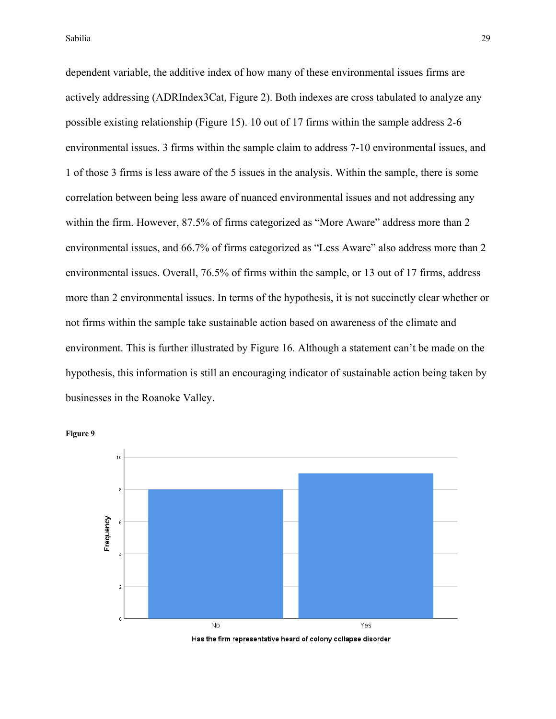dependent variable, the additive index of how many of these environmental issues firms are actively addressing (ADRIndex3Cat, Figure 2). Both indexes are cross tabulated to analyze any possible existing relationship (Figure 15). 10 out of 17 firms within the sample address 2-6 environmental issues. 3 firms within the sample claim to address 7-10 environmental issues, and 1 of those 3 firms is less aware of the 5 issues in the analysis. Within the sample, there is some correlation between being less aware of nuanced environmental issues and not addressing any within the firm. However, 87.5% of firms categorized as "More Aware" address more than 2 environmental issues, and 66.7% of firms categorized as "Less Aware" also address more than 2 environmental issues. Overall, 76.5% of firms within the sample, or 13 out of 17 firms, address more than 2 environmental issues. In terms of the hypothesis, it is not succinctly clear whether or not firms within the sample take sustainable action based on awareness of the climate and environment. This is further illustrated by Figure 16. Although a statement can't be made on the hypothesis, this information is still an encouraging indicator of sustainable action being taken by businesses in the Roanoke Valley.





Has the firm representative heard of colony collapse disorder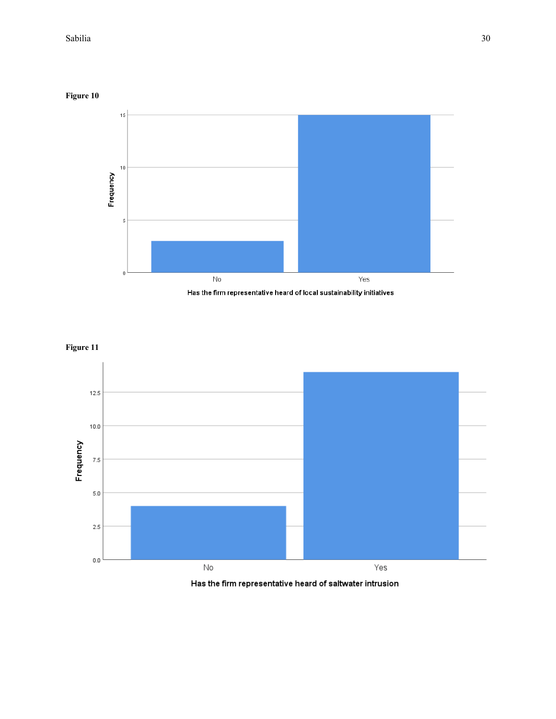## **Figure 10**



Has the firm representative heard of local sustainability initiatives





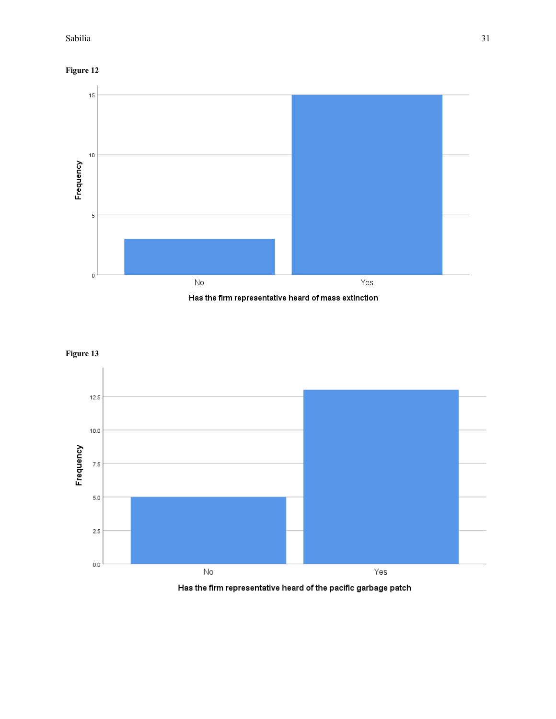









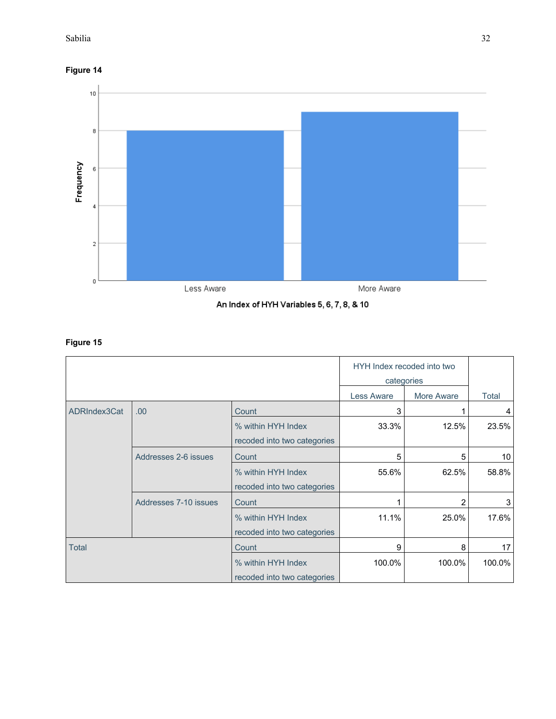**Figure 14**



An Index of HYH Variables 5, 6, 7, 8, & 10

# **Figure 15**

|              |                       | HYH Index recoded into two  |                   |            |        |
|--------------|-----------------------|-----------------------------|-------------------|------------|--------|
|              |                       | categories                  |                   |            |        |
|              |                       |                             | <b>Less Aware</b> | More Aware | Total  |
| ADRIndex3Cat | .00.                  | Count                       | 3                 |            | 4      |
|              |                       | % within HYH Index          | 33.3%             | 12.5%      | 23.5%  |
|              |                       | recoded into two categories |                   |            |        |
|              | Addresses 2-6 issues  | Count                       | 5                 | 5          | 10     |
|              |                       | % within HYH Index          | 55.6%             | 62.5%      | 58.8%  |
|              |                       | recoded into two categories |                   |            |        |
|              | Addresses 7-10 issues | Count                       |                   | 2          | 3      |
|              |                       | % within HYH Index          | 11.1%             | 25.0%      | 17.6%  |
|              |                       | recoded into two categories |                   |            |        |
| <b>Total</b> |                       | Count                       | 9                 | 8          | 17     |
|              |                       | % within HYH Index          | 100.0%            | 100.0%     | 100.0% |
|              |                       | recoded into two categories |                   |            |        |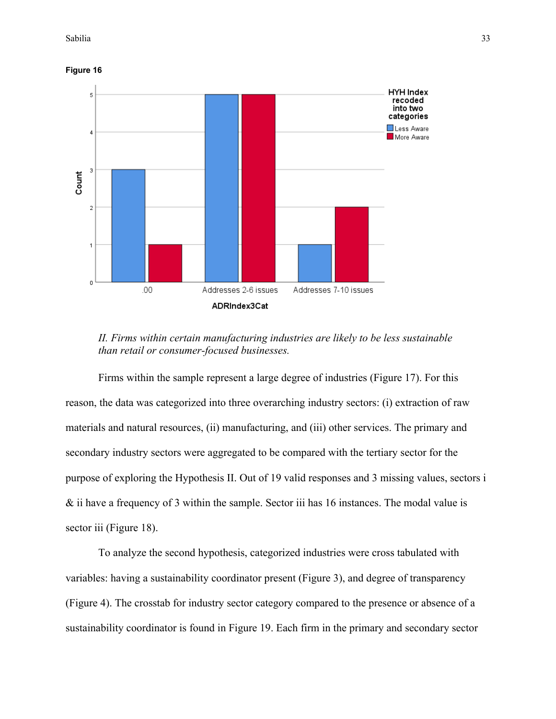





Firms within the sample represent a large degree of industries (Figure 17). For this reason, the data was categorized into three overarching industry sectors: (i) extraction of raw materials and natural resources, (ii) manufacturing, and (iii) other services. The primary and secondary industry sectors were aggregated to be compared with the tertiary sector for the purpose of exploring the Hypothesis II. Out of 19 valid responses and 3 missing values, sectors i & ii have a frequency of 3 within the sample. Sector iii has 16 instances. The modal value is sector iii (Figure 18).

To analyze the second hypothesis, categorized industries were cross tabulated with variables: having a sustainability coordinator present (Figure 3), and degree of transparency (Figure 4). The crosstab for industry sector category compared to the presence or absence of a sustainability coordinator is found in Figure 19. Each firm in the primary and secondary sector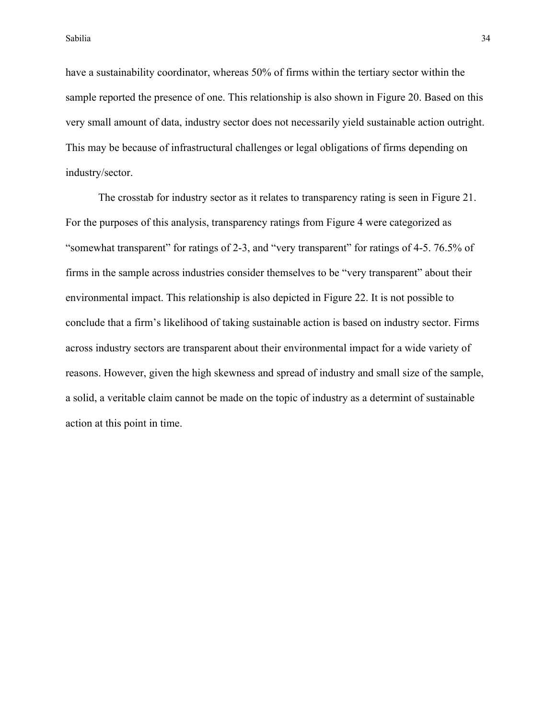have a sustainability coordinator, whereas 50% of firms within the tertiary sector within the sample reported the presence of one. This relationship is also shown in Figure 20. Based on this very small amount of data, industry sector does not necessarily yield sustainable action outright. This may be because of infrastructural challenges or legal obligations of firms depending on industry/sector.

The crosstab for industry sector as it relates to transparency rating is seen in Figure 21. For the purposes of this analysis, transparency ratings from Figure 4 were categorized as "somewhat transparent" for ratings of 2-3, and "very transparent" for ratings of 4-5. 76.5% of firms in the sample across industries consider themselves to be "very transparent" about their environmental impact. This relationship is also depicted in Figure 22. It is not possible to conclude that a firm's likelihood of taking sustainable action is based on industry sector. Firms across industry sectors are transparent about their environmental impact for a wide variety of reasons. However, given the high skewness and spread of industry and small size of the sample, a solid, a veritable claim cannot be made on the topic of industry as a determint of sustainable action at this point in time.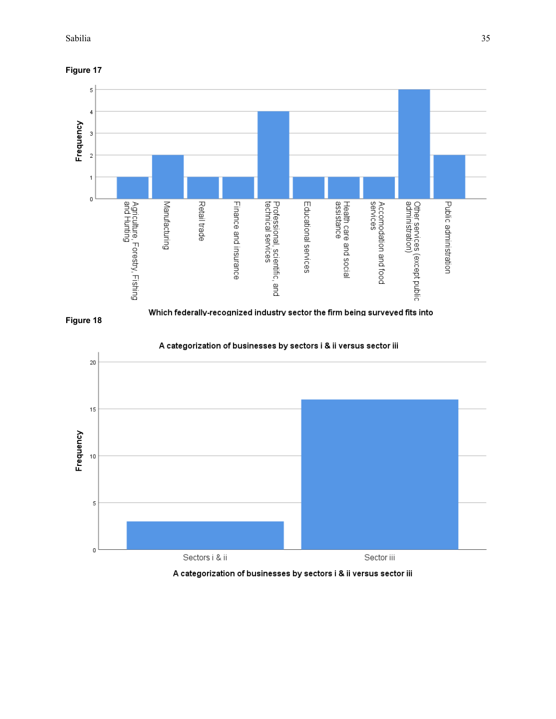#### Sabilia and Sabilia 35 and Sabilia 35 and Sabilia 35 and Sabilia 35 and Sabilia 35 and Sabilia 35 and Sabilia









A categorization of businesses by sectors i & ii versus sector iii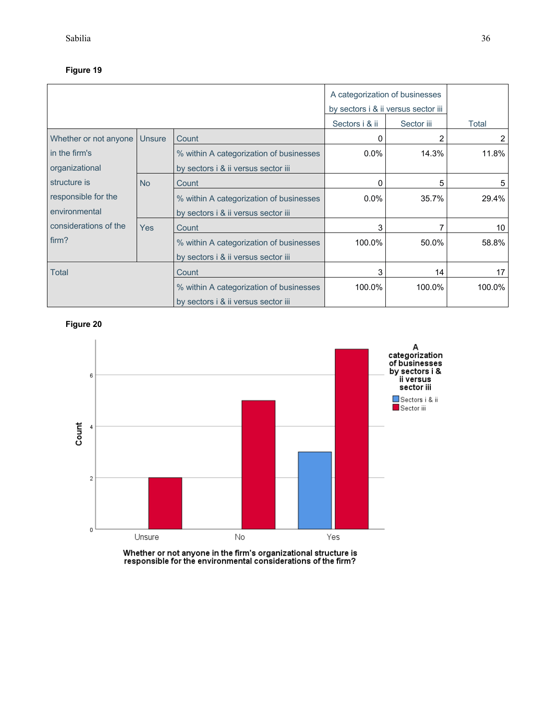|                       |               | A categorization of businesses<br>by sectors i & ii versus sector iii |                |            |        |
|-----------------------|---------------|-----------------------------------------------------------------------|----------------|------------|--------|
|                       |               |                                                                       | Sectors i & ii | Sector iii | Total  |
| Whether or not anyone | <b>Unsure</b> | Count                                                                 | 0              | 2          | 2      |
| in the firm's         |               | % within A categorization of businesses                               | $0.0\%$        | 14.3%      | 11.8%  |
| organizational        |               | by sectors i & ii versus sector iii                                   |                |            |        |
| structure is          | <b>No</b>     | Count                                                                 | 0              | 5          | 5      |
| responsible for the   |               | % within A categorization of businesses                               | $0.0\%$        | 35.7%      | 29.4%  |
| environmental         |               | by sectors i & ii versus sector iii                                   |                |            |        |
| considerations of the | <b>Yes</b>    | Count                                                                 | 3              |            | 10     |
| firm?                 |               | % within A categorization of businesses                               | 100.0%         | 50.0%      | 58.8%  |
|                       |               | by sectors i & ii versus sector iii                                   |                |            |        |
| Total                 |               | Count                                                                 | 3              | 14         | 17     |
|                       |               | % within A categorization of businesses                               | 100.0%         | 100.0%     | 100.0% |
|                       |               | by sectors i & ii versus sector iii                                   |                |            |        |

**Figure 20**



Whether or not anyone in the firm's organizational structure is<br>responsible for the environmental considerations of the firm?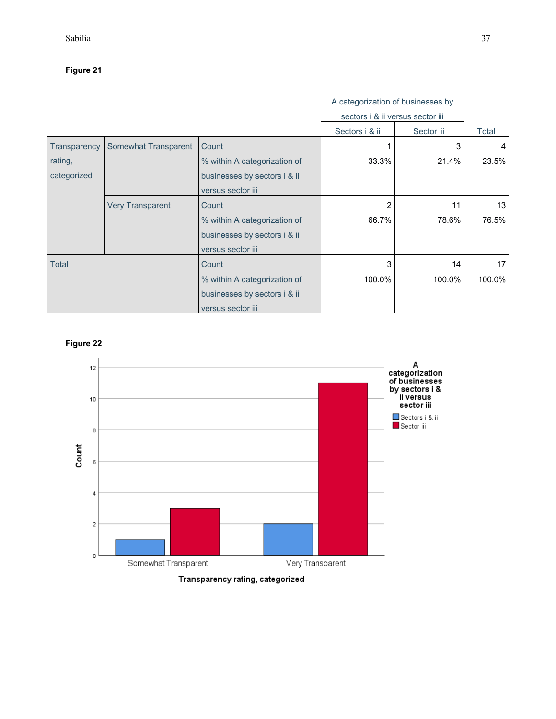## **Figure 21**

|              |                         | A categorization of businesses by<br>sectors i & ii versus sector iii |                |            |        |
|--------------|-------------------------|-----------------------------------------------------------------------|----------------|------------|--------|
|              |                         |                                                                       | Sectors i & ii | Sector iii | Total  |
| Transparency | Somewhat Transparent    | Count                                                                 |                | 3          | 4      |
| rating,      |                         | % within A categorization of                                          | 33.3%          | 21.4%      | 23.5%  |
| categorized  |                         | businesses by sectors i & ii                                          |                |            |        |
|              |                         | versus sector iii                                                     |                |            |        |
|              | <b>Very Transparent</b> | Count                                                                 | $\overline{2}$ | 11         | 13     |
|              |                         | % within A categorization of                                          | 66.7%          | 78.6%      | 76.5%  |
|              |                         | businesses by sectors i & ii                                          |                |            |        |
|              |                         | versus sector iii                                                     |                |            |        |
| <b>Total</b> |                         | Count                                                                 | 3              | 14         | 17     |
|              |                         | % within A categorization of                                          | 100.0%         | 100.0%     | 100.0% |
|              |                         | businesses by sectors i & ii                                          |                |            |        |
|              |                         | versus sector iii                                                     |                |            |        |

**Figure 22**



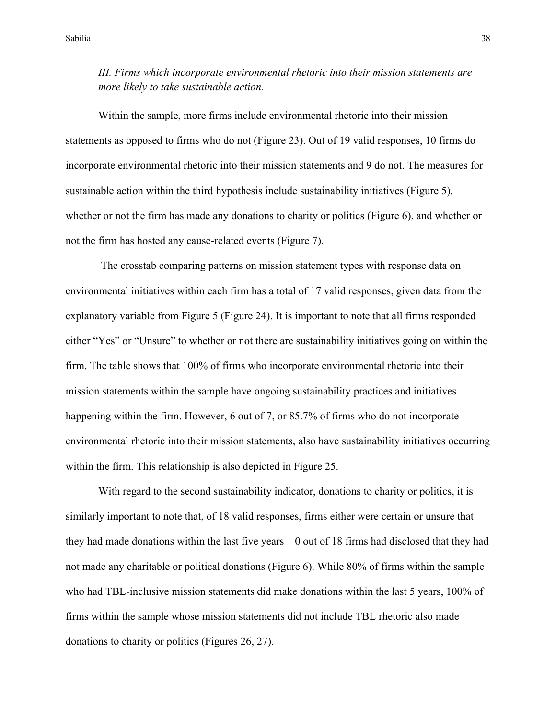*III. Firms which incorporate environmental rhetoric into their mission statements are more likely to take sustainable action.*

Within the sample, more firms include environmental rhetoric into their mission statements as opposed to firms who do not (Figure 23). Out of 19 valid responses, 10 firms do incorporate environmental rhetoric into their mission statements and 9 do not. The measures for sustainable action within the third hypothesis include sustainability initiatives (Figure 5), whether or not the firm has made any donations to charity or politics (Figure 6), and whether or not the firm has hosted any cause-related events (Figure 7).

The crosstab comparing patterns on mission statement types with response data on environmental initiatives within each firm has a total of 17 valid responses, given data from the explanatory variable from Figure 5 (Figure 24). It is important to note that all firms responded either "Yes" or "Unsure" to whether or not there are sustainability initiatives going on within the firm. The table shows that 100% of firms who incorporate environmental rhetoric into their mission statements within the sample have ongoing sustainability practices and initiatives happening within the firm. However, 6 out of 7, or 85.7% of firms who do not incorporate environmental rhetoric into their mission statements, also have sustainability initiatives occurring within the firm. This relationship is also depicted in Figure 25.

With regard to the second sustainability indicator, donations to charity or politics, it is similarly important to note that, of 18 valid responses, firms either were certain or unsure that they had made donations within the last five years—0 out of 18 firms had disclosed that they had not made any charitable or political donations (Figure 6). While 80% of firms within the sample who had TBL-inclusive mission statements did make donations within the last 5 years, 100% of firms within the sample whose mission statements did not include TBL rhetoric also made donations to charity or politics (Figures 26, 27).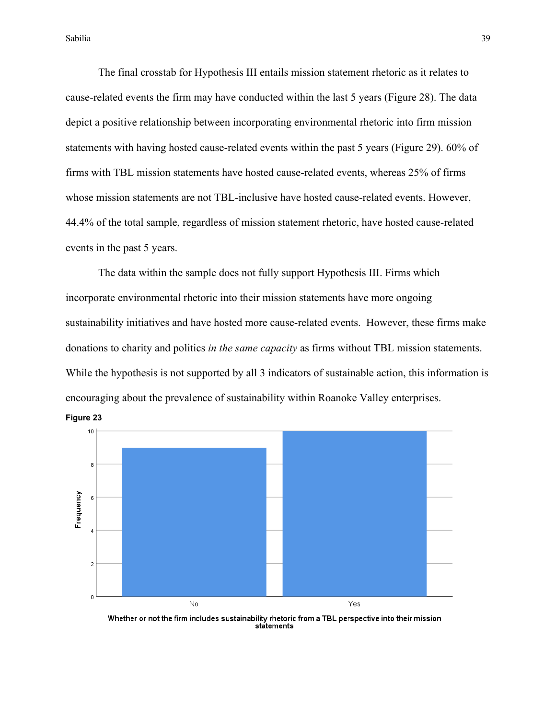Sabilia and Sabilia 39 and Sabilia 39 and Sabilia 39 and Sabilia 39 and Sabilia 39 and Sabilia 39 and Sabilia

The final crosstab for Hypothesis III entails mission statement rhetoric as it relates to cause-related events the firm may have conducted within the last 5 years (Figure 28). The data depict a positive relationship between incorporating environmental rhetoric into firm mission statements with having hosted cause-related events within the past 5 years (Figure 29). 60% of firms with TBL mission statements have hosted cause-related events, whereas 25% of firms whose mission statements are not TBL-inclusive have hosted cause-related events. However, 44.4% of the total sample, regardless of mission statement rhetoric, have hosted cause-related events in the past 5 years.

The data within the sample does not fully support Hypothesis III. Firms which incorporate environmental rhetoric into their mission statements have more ongoing sustainability initiatives and have hosted more cause-related events. However, these firms make donations to charity and politics *in the same capacity* as firms without TBL mission statements. While the hypothesis is not supported by all 3 indicators of sustainable action, this information is encouraging about the prevalence of sustainability within Roanoke Valley enterprises.



Whether or not the firm includes sustainability rhetoric from a TBL perspective into their mission statements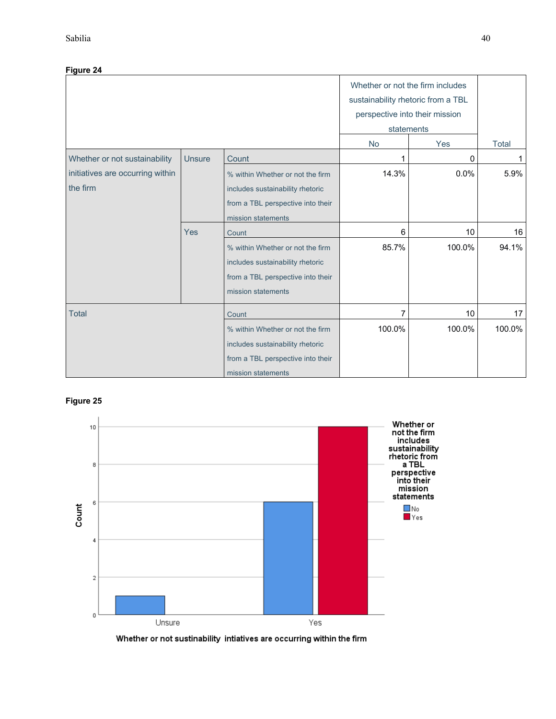| Figure 24                                    |               |                                                                                                                                 |                                                                                                                        |        |              |
|----------------------------------------------|---------------|---------------------------------------------------------------------------------------------------------------------------------|------------------------------------------------------------------------------------------------------------------------|--------|--------------|
|                                              |               |                                                                                                                                 | Whether or not the firm includes<br>sustainability rhetoric from a TBL<br>perspective into their mission<br>statements |        |              |
|                                              |               |                                                                                                                                 | <b>No</b>                                                                                                              | Yes    | <b>Total</b> |
| Whether or not sustainability                | <b>Unsure</b> | Count                                                                                                                           |                                                                                                                        | 0      | 1            |
| initiatives are occurring within<br>the firm |               | % within Whether or not the firm<br>includes sustainability rhetoric<br>from a TBL perspective into their<br>mission statements | 14.3%                                                                                                                  | 0.0%   | 5.9%         |
|                                              | Yes           | Count                                                                                                                           | 6                                                                                                                      | 10     | 16           |
|                                              |               | % within Whether or not the firm<br>includes sustainability rhetoric<br>from a TBL perspective into their<br>mission statements | 85.7%                                                                                                                  | 100.0% | 94.1%        |
| <b>Total</b>                                 |               | Count                                                                                                                           | 7                                                                                                                      | 10     | 17           |
|                                              |               | % within Whether or not the firm<br>includes sustainability rhetoric<br>from a TBL perspective into their<br>mission statements | 100.0%                                                                                                                 | 100.0% | 100.0%       |

## **Figure 25**



Whether or not sustinability intiatives are occurring within the firm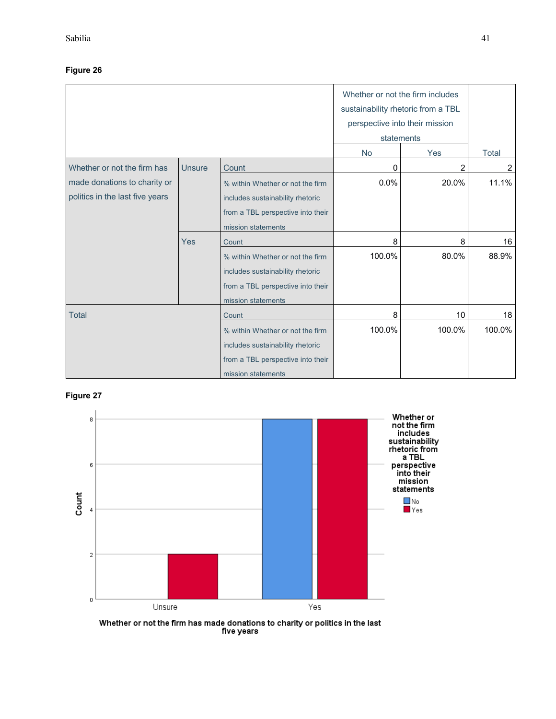## **Figure 26**

|                                 |               |                                   | Whether or not the firm includes<br>sustainability rhetoric from a TBL<br>perspective into their mission |        |        |
|---------------------------------|---------------|-----------------------------------|----------------------------------------------------------------------------------------------------------|--------|--------|
|                                 |               |                                   |                                                                                                          |        |        |
|                                 |               | statements                        |                                                                                                          |        |        |
|                                 |               |                                   | <b>No</b><br>Yes                                                                                         |        | Total  |
| Whether or not the firm has     | <b>Unsure</b> | Count                             | 0                                                                                                        | 2      | 2      |
| made donations to charity or    |               | % within Whether or not the firm  | 0.0%                                                                                                     | 20.0%  | 11.1%  |
| politics in the last five years |               | includes sustainability rhetoric  |                                                                                                          |        |        |
|                                 |               | from a TBL perspective into their |                                                                                                          |        |        |
|                                 |               | mission statements                |                                                                                                          |        |        |
|                                 | Yes           | Count                             | 8                                                                                                        | 8      | 16     |
|                                 |               | % within Whether or not the firm  | 100.0%                                                                                                   | 80.0%  | 88.9%  |
|                                 |               | includes sustainability rhetoric  |                                                                                                          |        |        |
|                                 |               | from a TBL perspective into their |                                                                                                          |        |        |
|                                 |               | mission statements                |                                                                                                          |        |        |
| <b>Total</b>                    |               | Count                             | 8                                                                                                        | 10     | 18     |
|                                 |               | % within Whether or not the firm  | 100.0%                                                                                                   | 100.0% | 100.0% |
|                                 |               | includes sustainability rhetoric  |                                                                                                          |        |        |
|                                 |               | from a TBL perspective into their |                                                                                                          |        |        |
|                                 |               | mission statements                |                                                                                                          |        |        |

## **Figure 27**



Whether or not the firm has made donations to charity or politics in the last<br>five years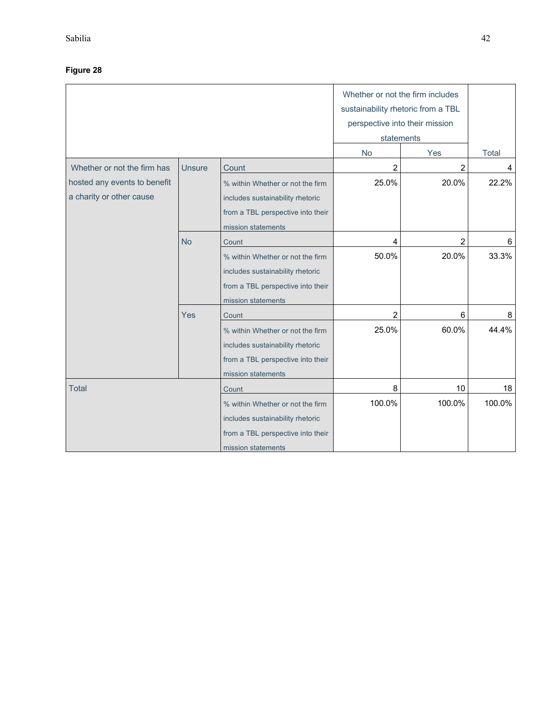|                                                          |               |                                                                                                                                 | Whether or not the firm includes<br>sustainability rhetoric from a TBL<br>perspective into their mission<br>statements |        |              |
|----------------------------------------------------------|---------------|---------------------------------------------------------------------------------------------------------------------------------|------------------------------------------------------------------------------------------------------------------------|--------|--------------|
|                                                          |               |                                                                                                                                 | No                                                                                                                     | Yes    | <b>Total</b> |
| Whether or not the firm has                              | <b>Unsure</b> | Count                                                                                                                           | 2                                                                                                                      | 2      | 4            |
| hosted any events to benefit<br>a charity or other cause |               | % within Whether or not the firm<br>includes sustainability rhetoric                                                            | 25.0%                                                                                                                  | 20.0%  | 22.2%        |
|                                                          |               | from a TBL perspective into their<br>mission statements                                                                         |                                                                                                                        |        |              |
|                                                          | <b>No</b>     | Count                                                                                                                           | 4                                                                                                                      | 2      | 6            |
|                                                          |               | % within Whether or not the firm<br>includes sustainability rhetoric<br>from a TBL perspective into their                       | 50.0%                                                                                                                  | 20.0%  | 33.3%        |
|                                                          |               | mission statements                                                                                                              |                                                                                                                        |        |              |
|                                                          | Yes           | Count                                                                                                                           | 2                                                                                                                      | 6      | 8            |
|                                                          |               | % within Whether or not the firm<br>includes sustainability rhetoric<br>from a TBL perspective into their<br>mission statements | 25.0%                                                                                                                  | 60.0%  | 44.4%        |
| <b>Total</b>                                             |               | Count                                                                                                                           | 8                                                                                                                      | 10     | 18           |
|                                                          |               | % within Whether or not the firm<br>includes sustainability rhetoric<br>from a TBL perspective into their<br>mission statements | 100.0%                                                                                                                 | 100.0% | 100.0%       |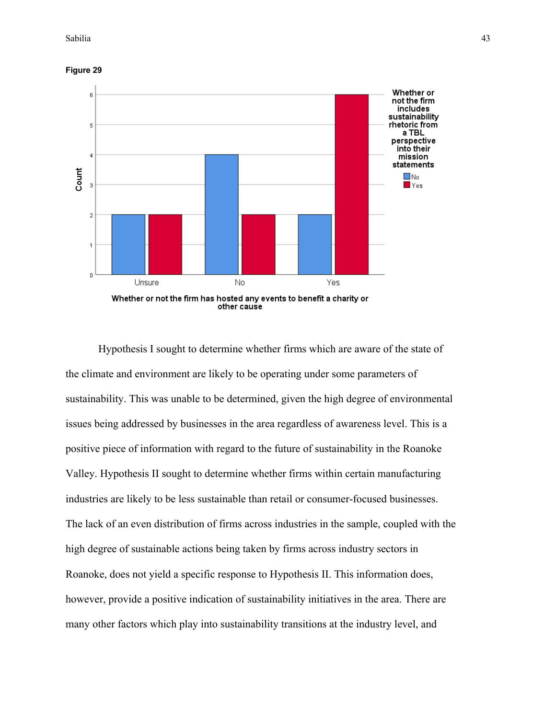**Figure 29**



Hypothesis I sought to determine whether firms which are aware of the state of the climate and environment are likely to be operating under some parameters of sustainability. This was unable to be determined, given the high degree of environmental issues being addressed by businesses in the area regardless of awareness level. This is a positive piece of information with regard to the future of sustainability in the Roanoke Valley. Hypothesis II sought to determine whether firms within certain manufacturing industries are likely to be less sustainable than retail or consumer-focused businesses. The lack of an even distribution of firms across industries in the sample, coupled with the high degree of sustainable actions being taken by firms across industry sectors in Roanoke, does not yield a specific response to Hypothesis II. This information does, however, provide a positive indication of sustainability initiatives in the area. There are many other factors which play into sustainability transitions at the industry level, and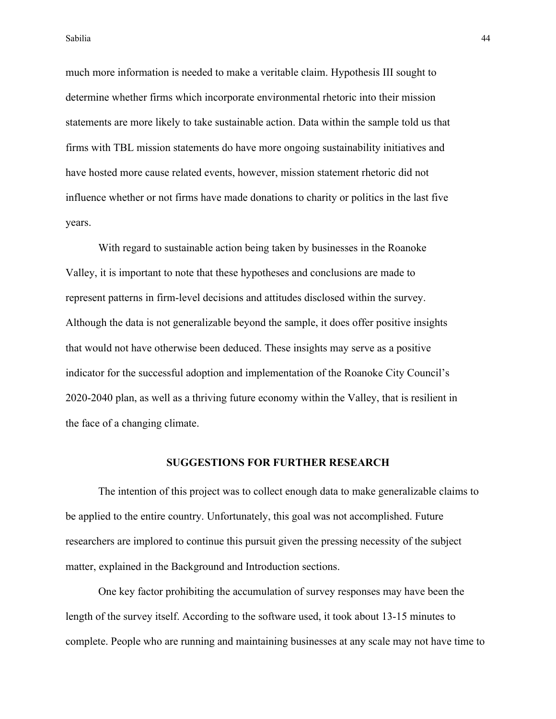much more information is needed to make a veritable claim. Hypothesis III sought to determine whether firms which incorporate environmental rhetoric into their mission statements are more likely to take sustainable action. Data within the sample told us that firms with TBL mission statements do have more ongoing sustainability initiatives and have hosted more cause related events, however, mission statement rhetoric did not influence whether or not firms have made donations to charity or politics in the last five years.

With regard to sustainable action being taken by businesses in the Roanoke Valley, it is important to note that these hypotheses and conclusions are made to represent patterns in firm-level decisions and attitudes disclosed within the survey. Although the data is not generalizable beyond the sample, it does offer positive insights that would not have otherwise been deduced. These insights may serve as a positive indicator for the successful adoption and implementation of the Roanoke City Council's 2020-2040 plan, as well as a thriving future economy within the Valley, that is resilient in the face of a changing climate.

#### **SUGGESTIONS FOR FURTHER RESEARCH**

The intention of this project was to collect enough data to make generalizable claims to be applied to the entire country. Unfortunately, this goal was not accomplished. Future researchers are implored to continue this pursuit given the pressing necessity of the subject matter, explained in the Background and Introduction sections.

One key factor prohibiting the accumulation of survey responses may have been the length of the survey itself. According to the software used, it took about 13-15 minutes to complete. People who are running and maintaining businesses at any scale may not have time to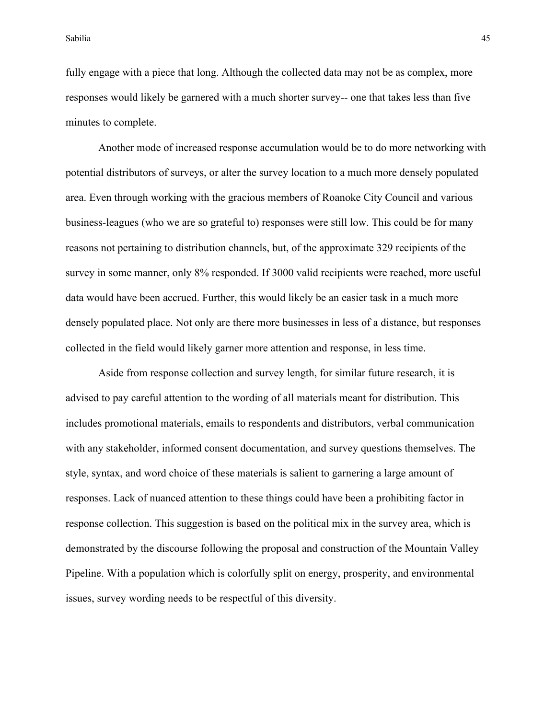fully engage with a piece that long. Although the collected data may not be as complex, more responses would likely be garnered with a much shorter survey-- one that takes less than five minutes to complete.

Another mode of increased response accumulation would be to do more networking with potential distributors of surveys, or alter the survey location to a much more densely populated area. Even through working with the gracious members of Roanoke City Council and various business-leagues (who we are so grateful to) responses were still low. This could be for many reasons not pertaining to distribution channels, but, of the approximate 329 recipients of the survey in some manner, only 8% responded. If 3000 valid recipients were reached, more useful data would have been accrued. Further, this would likely be an easier task in a much more densely populated place. Not only are there more businesses in less of a distance, but responses collected in the field would likely garner more attention and response, in less time.

Aside from response collection and survey length, for similar future research, it is advised to pay careful attention to the wording of all materials meant for distribution. This includes promotional materials, emails to respondents and distributors, verbal communication with any stakeholder, informed consent documentation, and survey questions themselves. The style, syntax, and word choice of these materials is salient to garnering a large amount of responses. Lack of nuanced attention to these things could have been a prohibiting factor in response collection. This suggestion is based on the political mix in the survey area, which is demonstrated by the discourse following the proposal and construction of the Mountain Valley Pipeline. With a population which is colorfully split on energy, prosperity, and environmental issues, survey wording needs to be respectful of this diversity.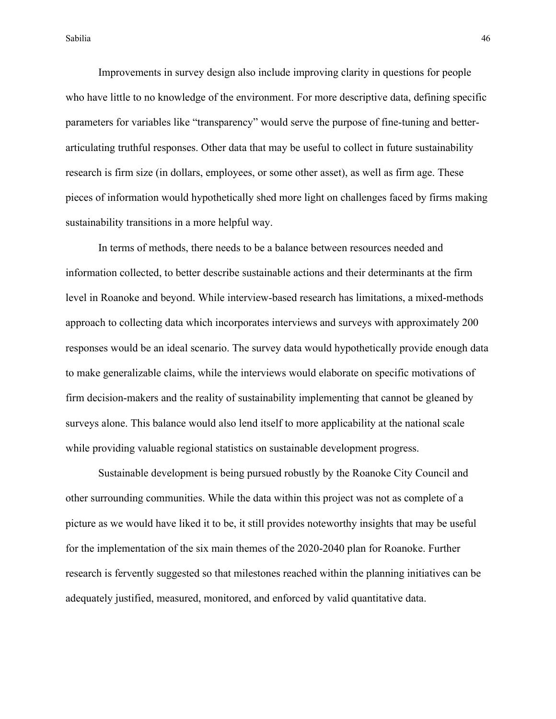Improvements in survey design also include improving clarity in questions for people who have little to no knowledge of the environment. For more descriptive data, defining specific parameters for variables like "transparency" would serve the purpose of fine-tuning and betterarticulating truthful responses. Other data that may be useful to collect in future sustainability research is firm size (in dollars, employees, or some other asset), as well as firm age. These pieces of information would hypothetically shed more light on challenges faced by firms making sustainability transitions in a more helpful way.

In terms of methods, there needs to be a balance between resources needed and information collected, to better describe sustainable actions and their determinants at the firm level in Roanoke and beyond. While interview-based research has limitations, a mixed-methods approach to collecting data which incorporates interviews and surveys with approximately 200 responses would be an ideal scenario. The survey data would hypothetically provide enough data to make generalizable claims, while the interviews would elaborate on specific motivations of firm decision-makers and the reality of sustainability implementing that cannot be gleaned by surveys alone. This balance would also lend itself to more applicability at the national scale while providing valuable regional statistics on sustainable development progress.

Sustainable development is being pursued robustly by the Roanoke City Council and other surrounding communities. While the data within this project was not as complete of a picture as we would have liked it to be, it still provides noteworthy insights that may be useful for the implementation of the six main themes of the 2020-2040 plan for Roanoke. Further research is fervently suggested so that milestones reached within the planning initiatives can be adequately justified, measured, monitored, and enforced by valid quantitative data.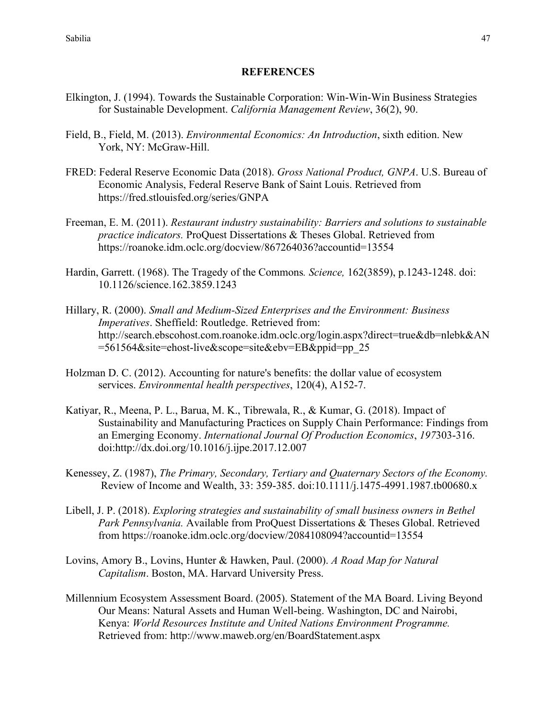### **REFERENCES**

- Elkington, J. (1994). Towards the Sustainable Corporation: Win-Win-Win Business Strategies for Sustainable Development. *California Management Review*, 36(2), 90.
- Field, B., Field, M. (2013). *Environmental Economics: An Introduction*, sixth edition. New York, NY: McGraw-Hill.
- FRED: Federal Reserve Economic Data (2018). *Gross National Product, GNPA*. U.S. Bureau of Economic Analysis, Federal Reserve Bank of Saint Louis. Retrieved from https://fred.stlouisfed.org/series/GNPA
- Freeman, E. M. (2011). *Restaurant industry sustainability: Barriers and solutions to sustainable practice indicators.* ProQuest Dissertations & Theses Global. Retrieved from https://roanoke.idm.oclc.org/docview/867264036?accountid=13554
- Hardin, Garrett. (1968). The Tragedy of the Commons*. Science,* 162(3859), p.1243-1248. doi: 10.1126/science.162.3859.1243
- Hillary, R. (2000). *Small and Medium-Sized Enterprises and the Environment: Business Imperatives*. Sheffield: Routledge. Retrieved from: http://search.ebscohost.com.roanoke.idm.oclc.org/login.aspx?direct=true&db=nlebk&AN =561564&site=ehost-live&scope=site&ebv=EB&ppid=pp\_25
- Holzman D. C. (2012). Accounting for nature's benefits: the dollar value of ecosystem services. *Environmental health perspectives*, 120(4), A152-7.
- Katiyar, R., Meena, P. L., Barua, M. K., Tibrewala, R., & Kumar, G. (2018). Impact of Sustainability and Manufacturing Practices on Supply Chain Performance: Findings from an Emerging Economy. *International Journal Of Production Economics*, *197*303-316. doi:http://dx.doi.org/10.1016/j.ijpe.2017.12.007
- Kenessey, Z. (1987), *The Primary, Secondary, Tertiary and Quaternary Sectors of the Economy.* Review of Income and Wealth, 33: 359-385. doi:10.1111/j.1475-4991.1987.tb00680.x
- Libell, J. P. (2018). *Exploring strategies and sustainability of small business owners in Bethel Park Pennsylvania.* Available from ProQuest Dissertations & Theses Global. Retrieved from https://roanoke.idm.oclc.org/docview/2084108094?accountid=13554
- Lovins, Amory B., Lovins, Hunter & Hawken, Paul. (2000). *A Road Map for Natural Capitalism*. Boston, MA. Harvard University Press.
- Millennium Ecosystem Assessment Board. (2005). Statement of the MA Board. Living Beyond Our Means: Natural Assets and Human Well-being. Washington, DC and Nairobi, Kenya: *World Resources Institute and United Nations Environment Programme.* Retrieved from: http://www.maweb.org/en/BoardStatement.aspx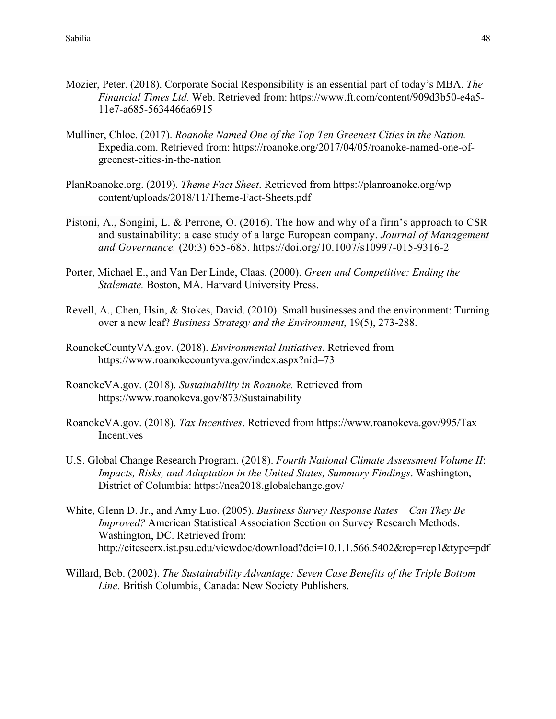- Mozier, Peter. (2018). Corporate Social Responsibility is an essential part of today's MBA. *The Financial Times Ltd.* Web. Retrieved from: https://www.ft.com/content/909d3b50-e4a5- 11e7-a685-5634466a6915
- Mulliner, Chloe. (2017). *Roanoke Named One of the Top Ten Greenest Cities in the Nation.* Expedia.com. Retrieved from: https://roanoke.org/2017/04/05/roanoke-named-one-ofgreenest-cities-in-the-nation
- PlanRoanoke.org. (2019). *Theme Fact Sheet*. Retrieved from https://planroanoke.org/wp content/uploads/2018/11/Theme-Fact-Sheets.pdf
- Pistoni, A., Songini, L. & Perrone, O. (2016). The how and why of a firm's approach to CSR and sustainability: a case study of a large European company. *Journal of Management and Governance.* (20:3) 655-685. https://doi.org/10.1007/s10997-015-9316-2
- Porter, Michael E., and Van Der Linde, Claas. (2000). *Green and Competitive: Ending the Stalemate.* Boston, MA. Harvard University Press.
- Revell, A., Chen, Hsin, & Stokes, David. (2010). Small businesses and the environment: Turning over a new leaf? *Business Strategy and the Environment*, 19(5), 273-288.
- RoanokeCountyVA.gov. (2018). *Environmental Initiatives*. Retrieved from https://www.roanokecountyva.gov/index.aspx?nid=73
- RoanokeVA.gov. (2018). *Sustainability in Roanoke.* Retrieved from https://www.roanokeva.gov/873/Sustainability
- RoanokeVA.gov. (2018). *Tax Incentives*. Retrieved from https://www.roanokeva.gov/995/Tax **Incentives**
- U.S. Global Change Research Program. (2018). *Fourth National Climate Assessment Volume II*: *Impacts, Risks, and Adaptation in the United States, Summary Findings*. Washington, District of Columbia: https://nca2018.globalchange.gov/
- White, Glenn D. Jr., and Amy Luo. (2005). *Business Survey Response Rates – Can They Be Improved?* American Statistical Association Section on Survey Research Methods. Washington, DC. Retrieved from: http://citeseerx.ist.psu.edu/viewdoc/download?doi=10.1.1.566.5402&rep=rep1&type=pdf
- Willard, Bob. (2002). *The Sustainability Advantage: Seven Case Benefits of the Triple Bottom Line.* British Columbia, Canada: New Society Publishers.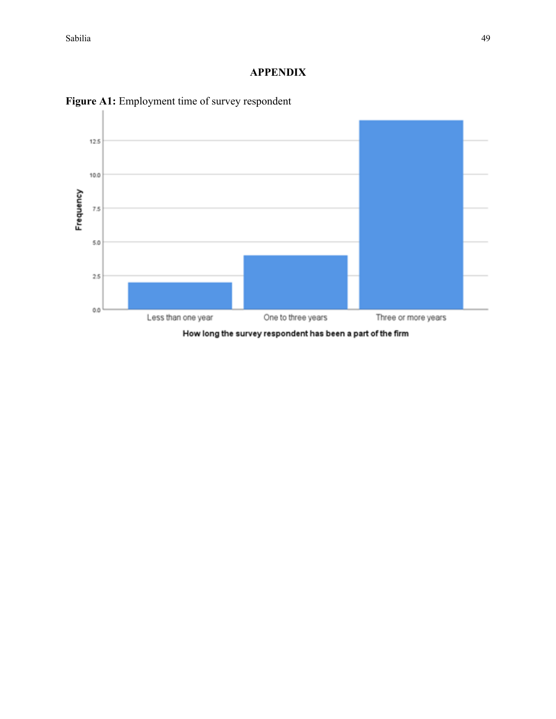# **APPENDIX**



Figure A1: Employment time of survey respondent

How long the survey respondent has been a part of the firm